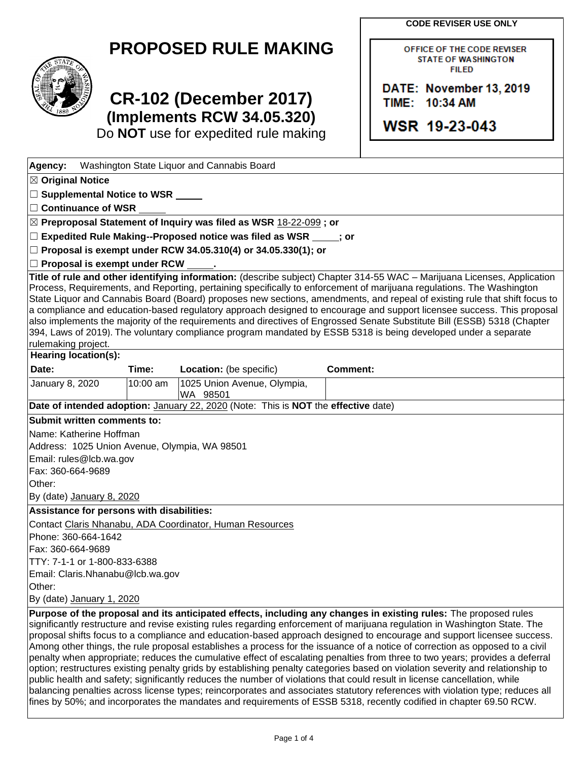|  |  | <b>CODE REVISER USE ONLY</b> |
|--|--|------------------------------|
|--|--|------------------------------|

OFFICE OF THE CODE REVISER **STATE OF WASHINGTON FILED** 

DATE: November 13, 2019

TIME: 10:34 AM

WSR 19-23-043

|  | <b>PROPOSED RULE MAKING</b> |
|--|-----------------------------|
|--|-----------------------------|



# **CR-102 (December 2017) (Implements RCW 34.05.320)**

Do **NOT** use for expedited rule making

| Agency:                                       |          | Washington State Liquor and Cannabis Board                                         |                                                                                                                                                                                                                                                                                                                                                                                                                                                                                                                                                                                                                                                                                                                                                         |  |
|-----------------------------------------------|----------|------------------------------------------------------------------------------------|---------------------------------------------------------------------------------------------------------------------------------------------------------------------------------------------------------------------------------------------------------------------------------------------------------------------------------------------------------------------------------------------------------------------------------------------------------------------------------------------------------------------------------------------------------------------------------------------------------------------------------------------------------------------------------------------------------------------------------------------------------|--|
| $\boxtimes$ Original Notice                   |          |                                                                                    |                                                                                                                                                                                                                                                                                                                                                                                                                                                                                                                                                                                                                                                                                                                                                         |  |
| □ Supplemental Notice to WSR <u>■ ■</u>       |          |                                                                                    |                                                                                                                                                                                                                                                                                                                                                                                                                                                                                                                                                                                                                                                                                                                                                         |  |
| $\Box$ Continuance of WSR                     |          |                                                                                    |                                                                                                                                                                                                                                                                                                                                                                                                                                                                                                                                                                                                                                                                                                                                                         |  |
|                                               |          | ⊠ Preproposal Statement of Inquiry was filed as WSR 18-22-099; or                  |                                                                                                                                                                                                                                                                                                                                                                                                                                                                                                                                                                                                                                                                                                                                                         |  |
|                                               |          | $\Box$ Expedited Rule Making--Proposed notice was filed as WSR $\Box$ ; or         |                                                                                                                                                                                                                                                                                                                                                                                                                                                                                                                                                                                                                                                                                                                                                         |  |
|                                               |          | □ Proposal is exempt under RCW 34.05.310(4) or 34.05.330(1); or                    |                                                                                                                                                                                                                                                                                                                                                                                                                                                                                                                                                                                                                                                                                                                                                         |  |
| $\Box$ Proposal is exempt under RCW           |          |                                                                                    |                                                                                                                                                                                                                                                                                                                                                                                                                                                                                                                                                                                                                                                                                                                                                         |  |
| rulemaking project.                           |          |                                                                                    | Title of rule and other identifying information: (describe subject) Chapter 314-55 WAC - Marijuana Licenses, Application<br>Process, Requirements, and Reporting, pertaining specifically to enforcement of marijuana regulations. The Washington<br>State Liquor and Cannabis Board (Board) proposes new sections, amendments, and repeal of existing rule that shift focus to<br>a compliance and education-based regulatory approach designed to encourage and support licensee success. This proposal<br>also implements the majority of the requirements and directives of Engrossed Senate Substitute Bill (ESSB) 5318 (Chapter<br>394, Laws of 2019). The voluntary compliance program mandated by ESSB 5318 is being developed under a separate |  |
| <b>Hearing location(s):</b>                   |          |                                                                                    |                                                                                                                                                                                                                                                                                                                                                                                                                                                                                                                                                                                                                                                                                                                                                         |  |
| Date:                                         | Time:    | Location: (be specific)                                                            | <b>Comment:</b>                                                                                                                                                                                                                                                                                                                                                                                                                                                                                                                                                                                                                                                                                                                                         |  |
| January 8, 2020                               | 10:00 am | 1025 Union Avenue, Olympia,<br>WA 98501                                            |                                                                                                                                                                                                                                                                                                                                                                                                                                                                                                                                                                                                                                                                                                                                                         |  |
|                                               |          | Date of intended adoption: January 22, 2020 (Note: This is NOT the effective date) |                                                                                                                                                                                                                                                                                                                                                                                                                                                                                                                                                                                                                                                                                                                                                         |  |
| Submit written comments to:                   |          |                                                                                    |                                                                                                                                                                                                                                                                                                                                                                                                                                                                                                                                                                                                                                                                                                                                                         |  |
| Name: Katherine Hoffman                       |          |                                                                                    |                                                                                                                                                                                                                                                                                                                                                                                                                                                                                                                                                                                                                                                                                                                                                         |  |
| Address: 1025 Union Avenue, Olympia, WA 98501 |          |                                                                                    |                                                                                                                                                                                                                                                                                                                                                                                                                                                                                                                                                                                                                                                                                                                                                         |  |
| Email: rules@lcb.wa.gov                       |          |                                                                                    |                                                                                                                                                                                                                                                                                                                                                                                                                                                                                                                                                                                                                                                                                                                                                         |  |
| Fax: 360-664-9689                             |          |                                                                                    |                                                                                                                                                                                                                                                                                                                                                                                                                                                                                                                                                                                                                                                                                                                                                         |  |
| Other:                                        |          |                                                                                    |                                                                                                                                                                                                                                                                                                                                                                                                                                                                                                                                                                                                                                                                                                                                                         |  |
| By (date) January 8, 2020                     |          |                                                                                    |                                                                                                                                                                                                                                                                                                                                                                                                                                                                                                                                                                                                                                                                                                                                                         |  |
| Assistance for persons with disabilities:     |          |                                                                                    |                                                                                                                                                                                                                                                                                                                                                                                                                                                                                                                                                                                                                                                                                                                                                         |  |
|                                               |          | Contact Claris Nhanabu, ADA Coordinator, Human Resources                           |                                                                                                                                                                                                                                                                                                                                                                                                                                                                                                                                                                                                                                                                                                                                                         |  |
| Phone: 360-664-1642                           |          |                                                                                    |                                                                                                                                                                                                                                                                                                                                                                                                                                                                                                                                                                                                                                                                                                                                                         |  |
| Fax: 360-664-9689                             |          |                                                                                    |                                                                                                                                                                                                                                                                                                                                                                                                                                                                                                                                                                                                                                                                                                                                                         |  |
| TTY: 7-1-1 or 1-800-833-6388                  |          |                                                                                    |                                                                                                                                                                                                                                                                                                                                                                                                                                                                                                                                                                                                                                                                                                                                                         |  |
| Email: Claris.Nhanabu@lcb.wa.gov              |          |                                                                                    |                                                                                                                                                                                                                                                                                                                                                                                                                                                                                                                                                                                                                                                                                                                                                         |  |
| Other:                                        |          |                                                                                    |                                                                                                                                                                                                                                                                                                                                                                                                                                                                                                                                                                                                                                                                                                                                                         |  |
| By (date) January 1, 2020                     |          |                                                                                    |                                                                                                                                                                                                                                                                                                                                                                                                                                                                                                                                                                                                                                                                                                                                                         |  |
|                                               |          |                                                                                    | Purpose of the proposal and its anticipated effects, including any changes in existing rules: The proposed rules<br>significantly restructure and revise existing rules regarding enforcement of marijuana regulation in Washington State. The<br>proposal shifts focus to a compliance and education-based approach designed to encourage and support licensee success.<br>Among other things, the rule proposal establishes a process for the issuance of a notice of correction as opposed to a civil<br>penalty when appropriate; reduces the cumulative effect of escalating penalties from three to two years; provides a deferral                                                                                                                |  |

option; restructures existing penalty grids by establishing penalty categories based on violation severity and relationship to public health and safety; significantly reduces the number of violations that could result in license cancellation, while balancing penalties across license types; reincorporates and associates statutory references with violation type; reduces all fines by 50%; and incorporates the mandates and requirements of ESSB 5318, recently codified in chapter 69.50 RCW.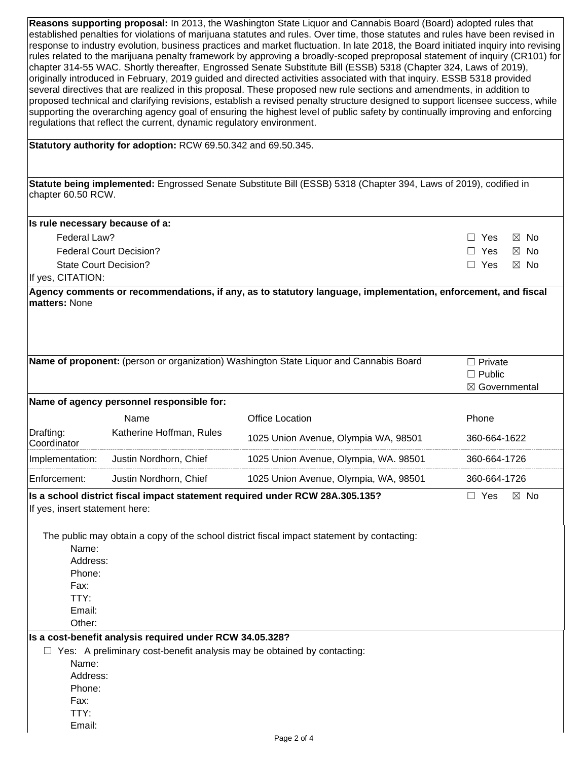| Reasons supporting proposal: In 2013, the Washington State Liquor and Cannabis Board (Board) adopted rules that                    |
|------------------------------------------------------------------------------------------------------------------------------------|
| established penalties for violations of marijuana statutes and rules. Over time, those statutes and rules have been revised in     |
| response to industry evolution, business practices and market fluctuation. In late 2018, the Board initiated inquiry into revising |
| rules related to the marijuana penalty framework by approving a broadly-scoped preproposal statement of inquiry (CR101) for        |
| chapter 314-55 WAC. Shortly thereafter, Engrossed Senate Substitute Bill (ESSB) 5318 (Chapter 324, Laws of 2019),                  |
| originally introduced in February, 2019 guided and directed activities associated with that inguiry. ESSB 5318 provided            |
| several directives that are realized in this proposal. These proposed new rule sections and amendments, in addition to             |
| proposed technical and clarifying revisions, establish a revised penalty structure designed to support licensee success, while     |
| supporting the overarching agency goal of ensuring the highest level of public safety by continually improving and enforcing       |
| regulations that reflect the current, dynamic regulatory environment.                                                              |
|                                                                                                                                    |

**Statutory authority for adoption:** RCW 69.50.342 and 69.50.345.

**Statute being implemented:** Engrossed Senate Substitute Bill (ESSB) 5318 (Chapter 394, Laws of 2019), codified in chapter 60.50 RCW.

| Is rule necessary because of a: |                           |
|---------------------------------|---------------------------|
| Federal Law?                    | □ Yes ⊠ No                |
| <b>Federal Court Decision?</b>  | $\Box$ Yes $\boxtimes$ No |
| State Court Decision?           | □ Yes ⊠ No                |
| If yes, CITATION:               |                           |

**Agency comments or recommendations, if any, as to statutory language, implementation, enforcement, and fiscal matters:** None

|                                |                                                          | Name of proponent: (person or organization) Washington State Liquor and Cannabis Board     | $\Box$ Private               |
|--------------------------------|----------------------------------------------------------|--------------------------------------------------------------------------------------------|------------------------------|
|                                |                                                          |                                                                                            | $\Box$ Public                |
|                                |                                                          |                                                                                            | ⊠ Governmental               |
|                                | Name of agency personnel responsible for:                |                                                                                            |                              |
|                                | Name                                                     | <b>Office Location</b>                                                                     | Phone                        |
| Drafting:<br>Coordinator       | Katherine Hoffman, Rules                                 | 1025 Union Avenue, Olympia WA, 98501                                                       | 360-664-1622                 |
| Implementation:                | Justin Nordhorn, Chief                                   | 1025 Union Avenue, Olympia, WA. 98501                                                      | 360-664-1726                 |
| Enforcement:                   | Justin Nordhorn, Chief                                   | 1025 Union Avenue, Olympia, WA, 98501                                                      | 360-664-1726                 |
| If yes, insert statement here: |                                                          | Is a school district fiscal impact statement required under RCW 28A.305.135?               | $\Box$ Yes<br>$\boxtimes$ No |
|                                |                                                          | The public may obtain a copy of the school district fiscal impact statement by contacting: |                              |
| Name:                          |                                                          |                                                                                            |                              |
| Address:                       |                                                          |                                                                                            |                              |
| Phone:                         |                                                          |                                                                                            |                              |
| Fax:                           |                                                          |                                                                                            |                              |
| TTY:                           |                                                          |                                                                                            |                              |
| Email:<br>Other:               |                                                          |                                                                                            |                              |
|                                | Is a cost-benefit analysis required under RCW 34.05.328? |                                                                                            |                              |
|                                |                                                          | $\Box$ Yes: A preliminary cost-benefit analysis may be obtained by contacting:             |                              |
| Name:                          |                                                          |                                                                                            |                              |
| Address:                       |                                                          |                                                                                            |                              |
| Phone:                         |                                                          |                                                                                            |                              |
| Fax:                           |                                                          |                                                                                            |                              |
| TTY:                           |                                                          |                                                                                            |                              |
| Email:                         |                                                          |                                                                                            |                              |
|                                |                                                          | Page 2 of 4                                                                                |                              |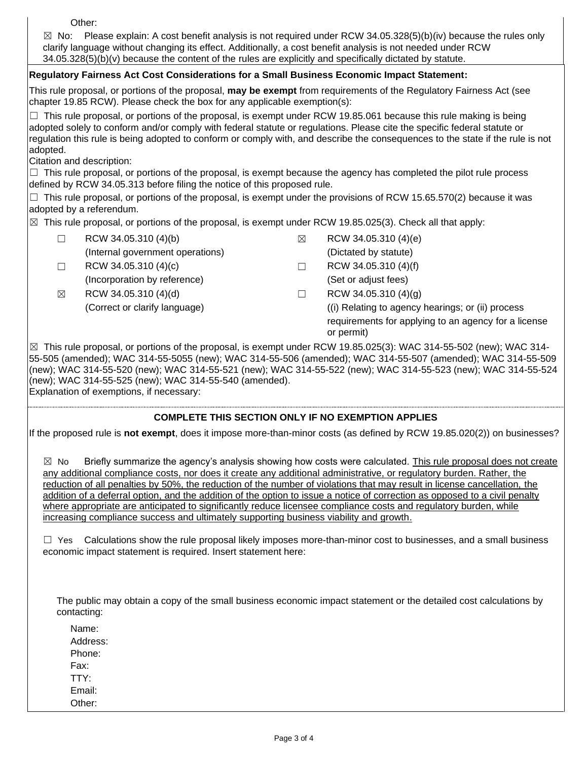Other:

 $\boxtimes$  No: Please explain: A cost benefit analysis is not required under RCW 34.05.328(5)(b)(iv) because the rules only clarify language without changing its effect. Additionally, a cost benefit analysis is not needed under RCW 34.05.328(5)(b)(v) because the content of the rules are explicitly and specifically dictated by statute.

## **Regulatory Fairness Act Cost Considerations for a Small Business Economic Impact Statement:**

This rule proposal, or portions of the proposal, **may be exempt** from requirements of the Regulatory Fairness Act (see chapter 19.85 RCW). Please check the box for any applicable exemption(s):

☐ This rule proposal, or portions of the proposal, is exempt under RCW 19.85.061 because this rule making is being adopted solely to conform and/or comply with federal statute or regulations. Please cite the specific federal statute or regulation this rule is being adopted to conform or comply with, and describe the consequences to the state if the rule is not adopted.

Citation and description:

 $\Box$  This rule proposal, or portions of the proposal, is exempt because the agency has completed the pilot rule process defined by RCW 34.05.313 before filing the notice of this proposed rule.

 $\Box$  This rule proposal, or portions of the proposal, is exempt under the provisions of RCW 15.65.570(2) because it was adopted by a referendum.

 $\boxtimes$  This rule proposal, or portions of the proposal, is exempt under RCW 19.85.025(3). Check all that apply:

| $\Box$      | RCW 34.05.310 (4)(b)             | ⊠ | RCW 34.05.310 (4)(e)                                               |
|-------------|----------------------------------|---|--------------------------------------------------------------------|
|             | (Internal government operations) |   | (Dictated by statute)                                              |
| $\Box$      | RCW 34.05.310 (4)(c)             |   | RCW 34.05.310 (4)(f)                                               |
|             | (Incorporation by reference)     |   | (Set or adjust fees)                                               |
| $\boxtimes$ | RCW 34.05.310 (4)(d)             |   | RCW 34.05.310 (4)(g)                                               |
|             | (Correct or clarify language)    |   | (i) Relating to agency hearings; or (ii) process                   |
|             |                                  |   | requirements for applying to an agency for a license<br>or permit) |

 $\boxtimes$  This rule proposal, or portions of the proposal, is exempt under RCW 19.85.025(3): WAC 314-55-502 (new); WAC 314-55-505 (amended); WAC 314-55-5055 (new); WAC 314-55-506 (amended); WAC 314-55-507 (amended); WAC 314-55-509 (new); WAC 314-55-520 (new); WAC 314-55-521 (new); WAC 314-55-522 (new); WAC 314-55-523 (new); WAC 314-55-524 (new); WAC 314-55-525 (new); WAC 314-55-540 (amended). Explanation of exemptions, if necessary:

## **COMPLETE THIS SECTION ONLY IF NO EXEMPTION APPLIES**

If the proposed rule is **not exempt**, does it impose more-than-minor costs (as defined by RCW 19.85.020(2)) on businesses?

 $\boxtimes$  No Briefly summarize the agency's analysis showing how costs were calculated. This rule proposal does not create any additional compliance costs, nor does it create any additional administrative, or regulatory burden. Rather, the reduction of all penalties by 50%, the reduction of the number of violations that may result in license cancellation, the addition of a deferral option, and the addition of the option to issue a notice of correction as opposed to a civil penalty where appropriate are anticipated to significantly reduce licensee compliance costs and regulatory burden, while increasing compliance success and ultimately supporting business viability and growth.

 $\Box$  Yes Calculations show the rule proposal likely imposes more-than-minor cost to businesses, and a small business economic impact statement is required. Insert statement here:

The public may obtain a copy of the small business economic impact statement or the detailed cost calculations by contacting:

Name: Address: Phone: Fax: TTY: Email: Other: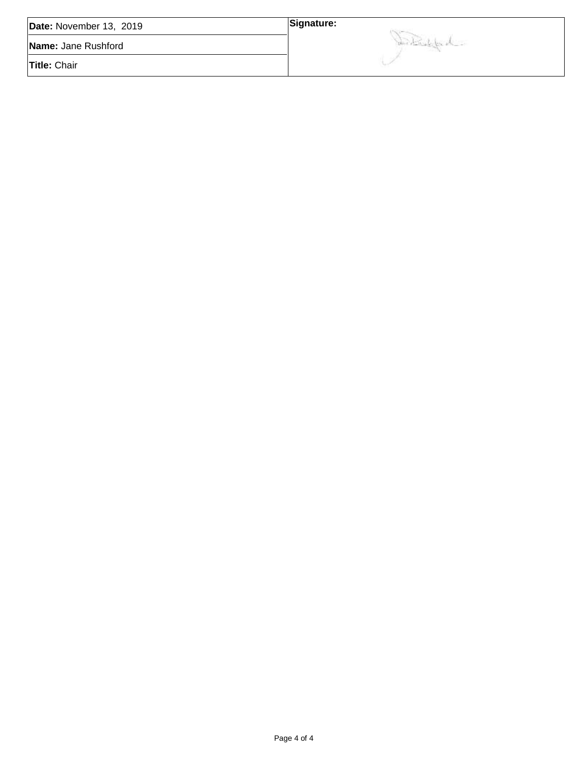| Date: November 13, 2019 | Signature:      |
|-------------------------|-----------------|
| Name: Jane Rushford     | Son Bridge de - |
| <b>Title: Chair</b>     |                 |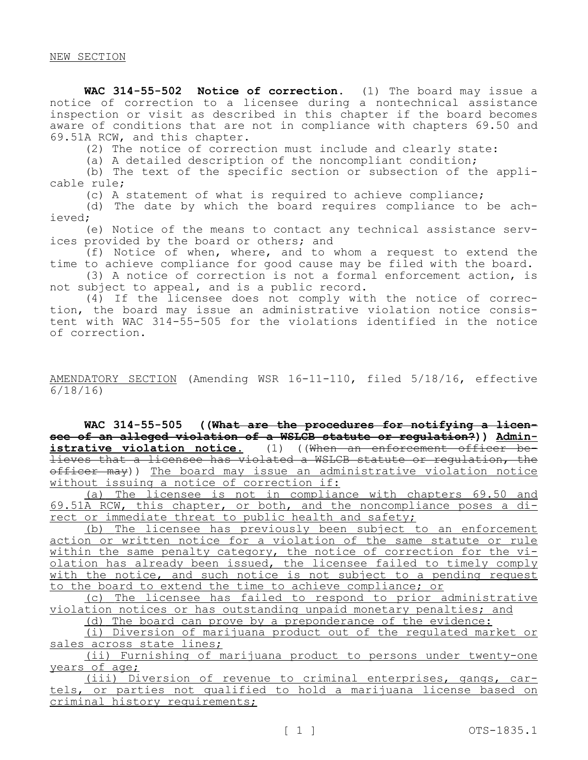**WAC 314-55-502 Notice of correction.** (1) The board may issue a notice of correction to a licensee during a nontechnical assistance inspection or visit as described in this chapter if the board becomes aware of conditions that are not in compliance with chapters 69.50 and 69.51A RCW, and this chapter.

(2) The notice of correction must include and clearly state:

(a) A detailed description of the noncompliant condition;

(b) The text of the specific section or subsection of the applicable rule;

(c) A statement of what is required to achieve compliance;

(d) The date by which the board requires compliance to be achieved;

(e) Notice of the means to contact any technical assistance services provided by the board or others; and

(f) Notice of when, where, and to whom a request to extend the time to achieve compliance for good cause may be filed with the board.

(3) A notice of correction is not a formal enforcement action, is not subject to appeal, and is a public record.

(4) If the licensee does not comply with the notice of correction, the board may issue an administrative violation notice consistent with WAC 314-55-505 for the violations identified in the notice of correction.

## AMENDATORY SECTION (Amending WSR 16-11-110, filed 5/18/16, effective 6/18/16)

**WAC 314-55-505 ((What are the procedures for notifying a licensee of an alleged violation of a WSLCB statute or regulation?)) Administrative violation notice.** (1) ((When an enforcement officer believes that a licensee has violated a WSLCB statute or regulation, the officer may)) The board may issue an administrative violation notice without issuing a notice of correction if:

(a) The licensee is not in compliance with chapters 69.50 and 69.51A RCW, this chapter, or both, and the noncompliance poses a direct or immediate threat to public health and safety;

(b) The licensee has previously been subject to an enforcement action or written notice for a violation of the same statute or rule within the same penalty category, the notice of correction for the violation has already been issued, the licensee failed to timely comply with the notice, and such notice is not subject to a pending request to the board to extend the time to achieve compliance; or

(c) The licensee has failed to respond to prior administrative violation notices or has outstanding unpaid monetary penalties; and

(d) The board can prove by a preponderance of the evidence:

(i) Diversion of marijuana product out of the regulated market or sales across state lines;

(ii) Furnishing of marijuana product to persons under twenty-one years of age;

(iii) Diversion of revenue to criminal enterprises, gangs, cartels, or parties not qualified to hold a marijuana license based on criminal history requirements;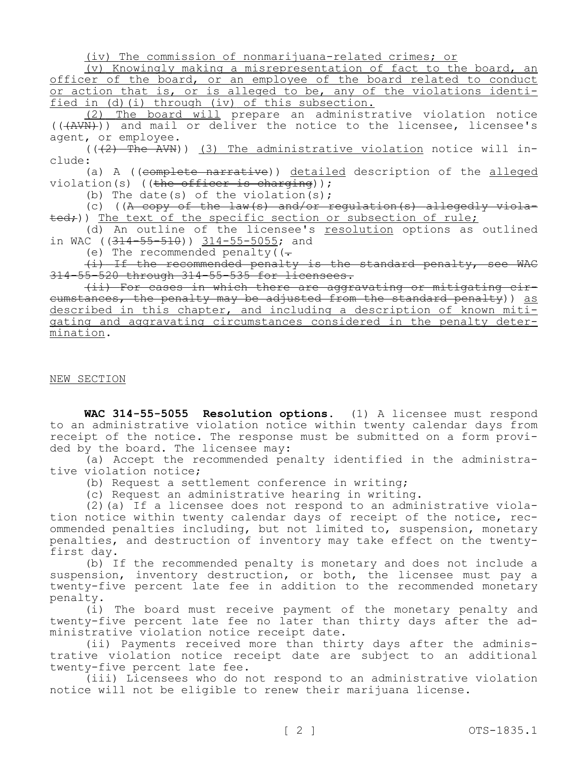(iv) The commission of nonmarijuana-related crimes; or

(v) Knowingly making a misrepresentation of fact to the board, an officer of the board, or an employee of the board related to conduct or action that is, or is alleged to be, any of the violations identified in (d)(i) through (iv) of this subsection.

(2) The board will prepare an administrative violation notice  $((+AWN))$  and mail or deliver the notice to the licensee, licensee's agent, or employee.

 $((+2)$  The AVN)) (3) The administrative violation notice will include:

(a) A ((complete narrative)) detailed description of the alleged violation(s) ((the officer is charging));

(b) The date(s) of the violation(s);

(c) ((A copy of the law(s) and/or regulation(s) allegedly viola- $\text{ted}$ ;)) The text of the specific section or subsection of rule;

(d) An outline of the licensee's resolution options as outlined in WAC  $(314 - 55 - 510)$  314-55-5055; and

(e) The recommended penalty  $($ .

(i) If the recommended penalty is the standard penalty, see WAC 314-55-520 through 314-55-535 for licensees.

(ii) For cases in which there are aggravating or mitigating circumstances, the penalty may be adjusted from the standard penalty)) as described in this chapter, and including a description of known mitigating and aggravating circumstances considered in the penalty determination.

#### NEW SECTION

**WAC 314-55-5055 Resolution options.** (1) A licensee must respond to an administrative violation notice within twenty calendar days from receipt of the notice. The response must be submitted on a form provided by the board. The licensee may:

(a) Accept the recommended penalty identified in the administrative violation notice;

(b) Request a settlement conference in writing;

(c) Request an administrative hearing in writing.

(2)(a) If a licensee does not respond to an administrative violation notice within twenty calendar days of receipt of the notice, recommended penalties including, but not limited to, suspension, monetary penalties, and destruction of inventory may take effect on the twentyfirst day.

(b) If the recommended penalty is monetary and does not include a suspension, inventory destruction, or both, the licensee must pay a twenty-five percent late fee in addition to the recommended monetary penalty.

(i) The board must receive payment of the monetary penalty and twenty-five percent late fee no later than thirty days after the administrative violation notice receipt date.

(ii) Payments received more than thirty days after the administrative violation notice receipt date are subject to an additional twenty-five percent late fee.

(iii) Licensees who do not respond to an administrative violation notice will not be eligible to renew their marijuana license.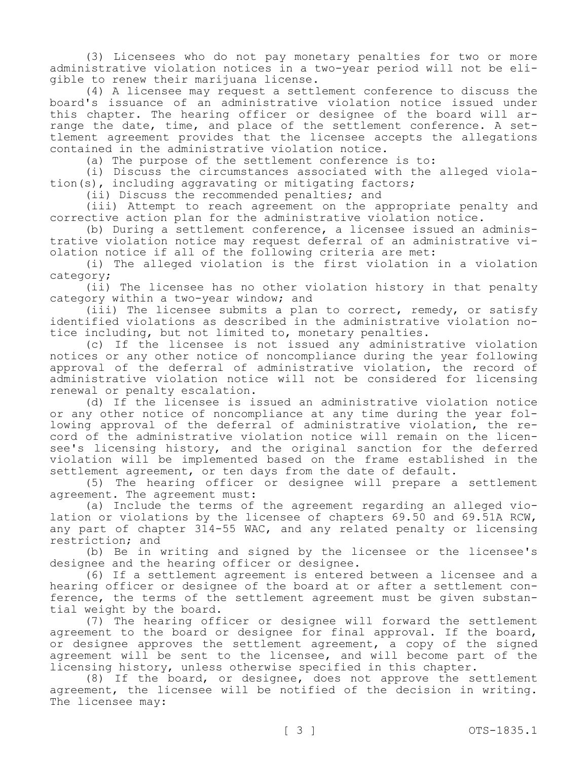(3) Licensees who do not pay monetary penalties for two or more administrative violation notices in a two-year period will not be eligible to renew their marijuana license.

(4) A licensee may request a settlement conference to discuss the board's issuance of an administrative violation notice issued under this chapter. The hearing officer or designee of the board will arrange the date, time, and place of the settlement conference. A settlement agreement provides that the licensee accepts the allegations contained in the administrative violation notice.

(a) The purpose of the settlement conference is to:

(i) Discuss the circumstances associated with the alleged violation(s), including aggravating or mitigating factors;

(ii) Discuss the recommended penalties; and

(iii) Attempt to reach agreement on the appropriate penalty and corrective action plan for the administrative violation notice.

(b) During a settlement conference, a licensee issued an administrative violation notice may request deferral of an administrative violation notice if all of the following criteria are met:

(i) The alleged violation is the first violation in a violation category;

(ii) The licensee has no other violation history in that penalty category within a two-year window; and

(iii) The licensee submits a plan to correct, remedy, or satisfy identified violations as described in the administrative violation notice including, but not limited to, monetary penalties.

(c) If the licensee is not issued any administrative violation notices or any other notice of noncompliance during the year following approval of the deferral of administrative violation, the record of administrative violation notice will not be considered for licensing renewal or penalty escalation.

(d) If the licensee is issued an administrative violation notice or any other notice of noncompliance at any time during the year following approval of the deferral of administrative violation, the record of the administrative violation notice will remain on the licensee's licensing history, and the original sanction for the deferred violation will be implemented based on the frame established in the settlement agreement, or ten days from the date of default.

(5) The hearing officer or designee will prepare a settlement agreement. The agreement must:

(a) Include the terms of the agreement regarding an alleged violation or violations by the licensee of chapters 69.50 and 69.51A RCW, any part of chapter 314-55 WAC, and any related penalty or licensing restriction; and

(b) Be in writing and signed by the licensee or the licensee's designee and the hearing officer or designee.

(6) If a settlement agreement is entered between a licensee and a hearing officer or designee of the board at or after a settlement conference, the terms of the settlement agreement must be given substantial weight by the board.

(7) The hearing officer or designee will forward the settlement agreement to the board or designee for final approval. If the board, or designee approves the settlement agreement, a copy of the signed agreement will be sent to the licensee, and will become part of the licensing history, unless otherwise specified in this chapter.

(8) If the board, or designee, does not approve the settlement agreement, the licensee will be notified of the decision in writing. The licensee may: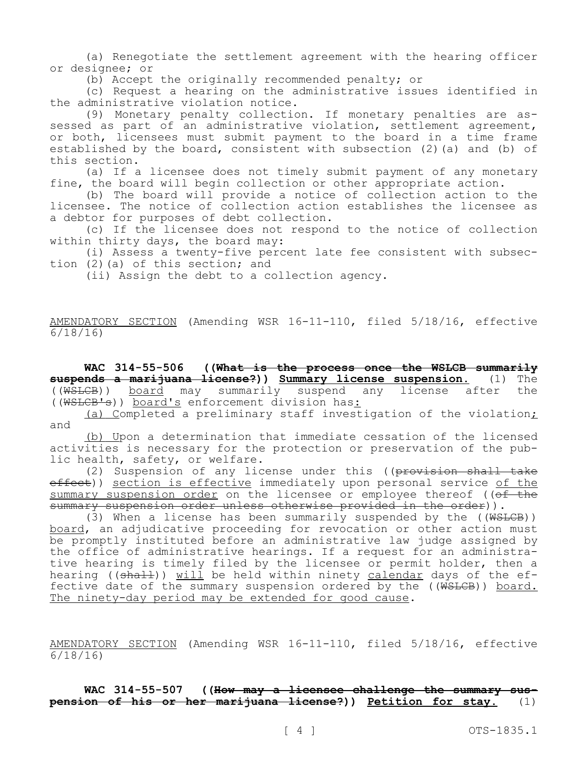(a) Renegotiate the settlement agreement with the hearing officer or designee; or

(b) Accept the originally recommended penalty; or

(c) Request a hearing on the administrative issues identified in the administrative violation notice.

(9) Monetary penalty collection. If monetary penalties are assessed as part of an administrative violation, settlement agreement, or both, licensees must submit payment to the board in a time frame established by the board, consistent with subsection (2)(a) and (b) of this section.

(a) If a licensee does not timely submit payment of any monetary fine, the board will begin collection or other appropriate action.

(b) The board will provide a notice of collection action to the licensee. The notice of collection action establishes the licensee as a debtor for purposes of debt collection.

(c) If the licensee does not respond to the notice of collection within thirty days, the board may:

(i) Assess a twenty-five percent late fee consistent with subsection (2)(a) of this section; and

(ii) Assign the debt to a collection agency.

AMENDATORY SECTION (Amending WSR 16-11-110, filed 5/18/16, effective 6/18/16)

**WAC 314-55-506 ((What is the process once the WSLCB summarily suspends a marijuana license?)) Summary license suspension.** (1) The ((WSLCB)) board may summarily suspend any license after the ((WSLCB's)) board's enforcement division has:

(a) Completed a preliminary staff investigation of the violation; and

(b) Upon a determination that immediate cessation of the licensed activities is necessary for the protection or preservation of the public health, safety, or welfare.

(2) Suspension of any license under this ((provision shall take effect)) section is effective immediately upon personal service of the summary suspension order on the licensee or employee thereof ((of the summary suspension order unless otherwise provided in the order)).

(3) When a license has been summarily suspended by the  $((\text{WSLCB}))$ board, an adjudicative proceeding for revocation or other action must be promptly instituted before an administrative law judge assigned by the office of administrative hearings. If a request for an administrative hearing is timely filed by the licensee or permit holder, then a hearing ((shall)) will be held within ninety calendar days of the effective date of the summary suspension ordered by the ((WSLCB)) board. The ninety-day period may be extended for good cause.

AMENDATORY SECTION (Amending WSR 16-11-110, filed 5/18/16, effective 6/18/16)

**WAC 314-55-507 ((How may a licensee challenge the summary suspension of his or her marijuana license?)) Petition for stay.** (1)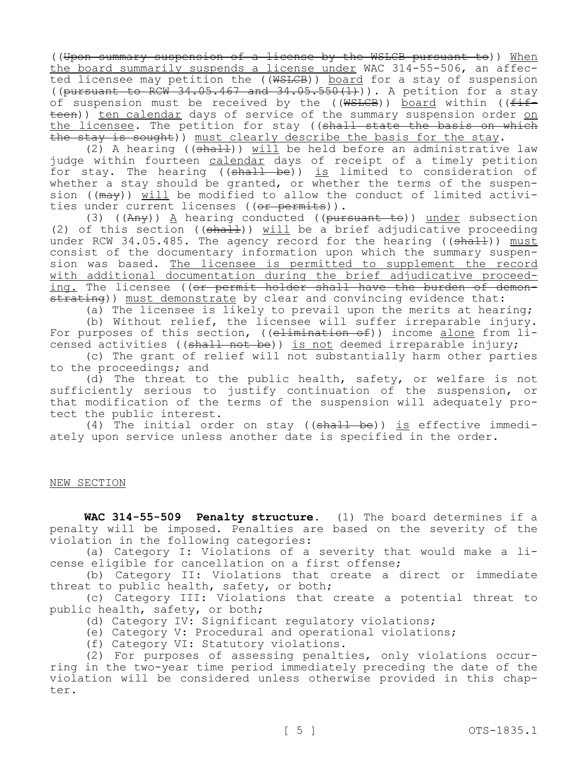((Upon summary suspension of a license by the WSLCB pursuant to)) When the board summarily suspends a license under WAC 314-55-506, an affected licensee may petition the ((WSLCB)) board for a stay of suspension (( $\frac{1}{2}$ ) and  $\frac{1}{2}$ ,  $\frac{1}{2}$ ,  $\frac{1}{2}$ ,  $\frac{1}{2}$ ,  $\frac{1}{2}$ ,  $\frac{1}{2}$ ,  $\frac{1}{2}$ ,  $\frac{1}{2}$ ,  $\frac{1}{2}$ ,  $\frac{1}{2}$ ,  $\frac{1}{2}$ ,  $\frac{1}{2}$ ,  $\frac{1}{2}$ ,  $\frac{1}{2}$ ,  $\frac{1}{2}$ ,  $\frac{1}{2}$ ,  $\frac{1}{2}$ ,  $\frac{1}{2}$ ,  $\frac{1}{$ of suspension must be received by the (( $WSICEB$ )) board within (( $f$ ifteen)) ten calendar days of service of the summary suspension order on the licensee. The petition for stay ((shall state the basis on which the stay is sought)) must clearly describe the basis for the stay.

(2) A hearing ( $(\text{sha1-})$ ) will be held before an administrative law judge within fourteen calendar days of receipt of a timely petition for stay. The hearing ((shall be)) is limited to consideration of whether a stay should be granted, or whether the terms of the suspension ( $(\text{max})$ ) will be modified to allow the conduct of limited activities under current licenses ((or permits)).

(3) ( $(Any)$ )  $\underline{A}$  hearing conducted (( $pursuant-to$ )) under subsection (2) of this section (( $\frac{1}{2}$ ) will be a brief adjudicative proceeding under RCW 34.05.485. The agency record for the hearing ((shall)) must consist of the documentary information upon which the summary suspension was based. The licensee is permitted to supplement the record with additional documentation during the brief adjudicative proceeding. The licensee ((or permit holder shall have the burden of demonstrating)) must demonstrate by clear and convincing evidence that:

(a) The licensee is likely to prevail upon the merits at hearing;

(b) Without relief, the licensee will suffer irreparable injury. For purposes of this section, ((elimination of)) income alone from licensed activities ((shall not be)) is not deemed irreparable injury;

(c) The grant of relief will not substantially harm other parties to the proceedings; and

(d) The threat to the public health, safety, or welfare is not sufficiently serious to justify continuation of the suspension, or that modification of the terms of the suspension will adequately protect the public interest.

(4) The initial order on stay ( $(\text{shall} \text{ be})$ ) is effective immediately upon service unless another date is specified in the order.

## NEW SECTION

**WAC 314-55-509 Penalty structure.** (1) The board determines if a penalty will be imposed. Penalties are based on the severity of the violation in the following categories:

(a) Category I: Violations of a severity that would make a license eligible for cancellation on a first offense;

(b) Category II: Violations that create a direct or immediate threat to public health, safety, or both;

(c) Category III: Violations that create a potential threat to public health, safety, or both;

(d) Category IV: Significant regulatory violations;

(e) Category V: Procedural and operational violations;

(f) Category VI: Statutory violations.

(2) For purposes of assessing penalties, only violations occurring in the two-year time period immediately preceding the date of the violation will be considered unless otherwise provided in this chapter.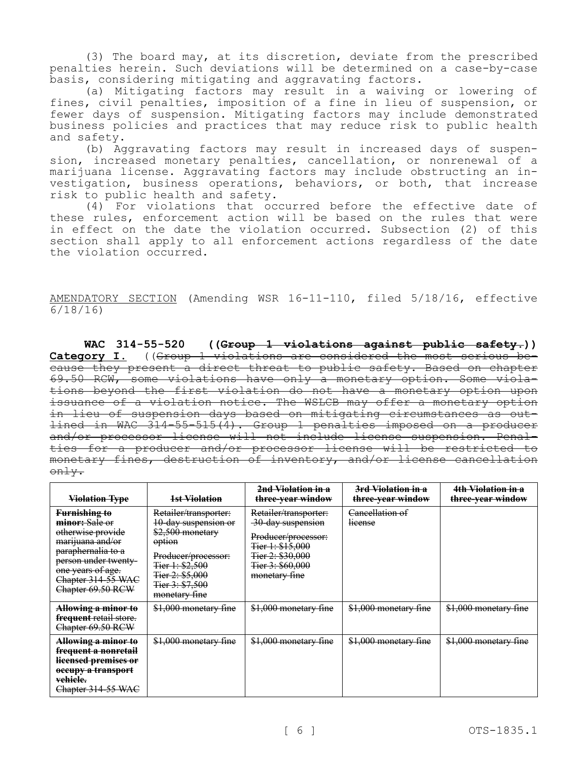(3) The board may, at its discretion, deviate from the prescribed penalties herein. Such deviations will be determined on a case-by-case basis, considering mitigating and aggravating factors.

(a) Mitigating factors may result in a waiving or lowering of fines, civil penalties, imposition of a fine in lieu of suspension, or fewer days of suspension. Mitigating factors may include demonstrated business policies and practices that may reduce risk to public health and safety.

(b) Aggravating factors may result in increased days of suspension, increased monetary penalties, cancellation, or nonrenewal of a marijuana license. Aggravating factors may include obstructing an investigation, business operations, behaviors, or both, that increase risk to public health and safety.

(4) For violations that occurred before the effective date of these rules, enforcement action will be based on the rules that were in effect on the date the violation occurred. Subsection (2) of this section shall apply to all enforcement actions regardless of the date the violation occurred.

AMENDATORY SECTION (Amending WSR 16-11-110, filed 5/18/16, effective 6/18/16)

**WAC 314-55-520 ((Group 1 violations against public safety.)) Category I.** ((Group 1 violations are considered the most serious because they present a direct threat to public safety. Based on chapter 69.50 RCW, some violations have only a monetary option. Some violations beyond the first violation do not have a monetary option upon issuance of a violation notice. The WSLCB may offer a monetary option in lieu of suspension days based on mitigating circumstances as outlined in WAC 314-55-515(4). Group 1 penalties imposed on a producer and/or processor license will not include license suspension. Penalties for a producer and/or processor license will be restricted to monetary fines, destruction of inventory, and/or license cancellation only.

| <b>Violation Type</b>                                                                                                                                                                         | 1st Violation                                                                                                                                                                | 2nd Violation in a<br>three-year window                                                                                                        | 3rd Violation in a<br>three-year window | 4th Violation in a<br>three-year window |
|-----------------------------------------------------------------------------------------------------------------------------------------------------------------------------------------------|------------------------------------------------------------------------------------------------------------------------------------------------------------------------------|------------------------------------------------------------------------------------------------------------------------------------------------|-----------------------------------------|-----------------------------------------|
| <b>Furnishing to</b><br>minor: Sale or<br>otherwise provide<br>marijuana and/or<br>paraphernalia to a<br>person under twenty-<br>one years of age.<br>Chapter 314-55 WAC<br>Chapter 69.50 RCW | Retailer/transporter:<br>10-day suspension or<br>\$2,500 monetary<br>option<br>Producer/processor:<br>Tier 1: \$2,500<br>Tier 2: \$5,000<br>Tier 3: \$7,500<br>monetary fine | Retailer/transporter:<br>30-day suspension<br>Producer/processor:<br>Tier 1: \$15,000<br>Tier 2: \$30,000<br>Tier 3: \$60,000<br>monetary fine | Cancellation of<br>license              |                                         |
| Allowing a minor to<br>frequent retail store.<br>Chapter 69.50 RCW                                                                                                                            | \$1,000 monetary fine                                                                                                                                                        | \$1,000 monetary fine                                                                                                                          | \$1,000 monetary fine                   | \$1,000 monetary fine                   |
| Allowing a minor to<br>frequent a nonretail<br>licensed premises or<br>occupy a transport<br>vehiele.<br>Chapter 314-55 WAC                                                                   | \$1,000 monetary fine                                                                                                                                                        | \$1,000 monetary fine                                                                                                                          | \$1,000 monetary fine                   | \$1,000 monetary fine                   |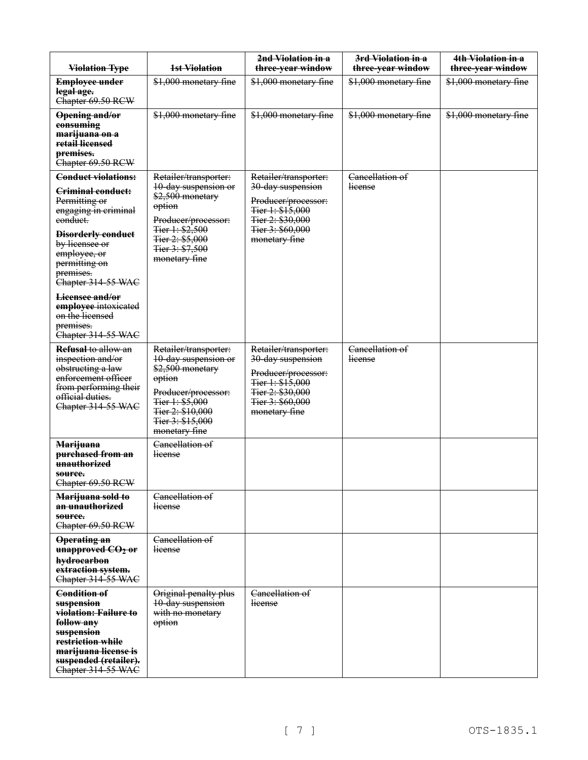| <b>Violation Type</b>                                                                                                                                                                                                   | 1st Violation                                                                                                                                                                  | 2nd Violation in a<br>three-year window                                                                                                        | 3rd Violation in a<br>three-year window | 4th Violation in a<br>three-year window |
|-------------------------------------------------------------------------------------------------------------------------------------------------------------------------------------------------------------------------|--------------------------------------------------------------------------------------------------------------------------------------------------------------------------------|------------------------------------------------------------------------------------------------------------------------------------------------|-----------------------------------------|-----------------------------------------|
| <b>Employee under</b><br>legal age.<br>Chapter 69.50 RCW                                                                                                                                                                | \$1,000 monetary fine                                                                                                                                                          | \$1,000 monetary fine                                                                                                                          | \$1,000 monetary fine                   | \$1,000 monetary fine                   |
| Opening and/or<br>consuming<br>marijuana on a<br>retail licensed<br>premises.<br>Chapter 69.50 RCW                                                                                                                      | \$1,000 monetary fine                                                                                                                                                          | \$1,000 monetary fine                                                                                                                          | \$1,000 monetary fine                   | \$1,000 monetary fine                   |
| <b>Conduct violations:</b><br>Criminal conduct:<br>Permitting or<br>engaging in criminal<br>eonduct.<br><b>Disorderly conduct</b><br>by licensee or<br>employee, or<br>permitting on<br>premises.<br>Chapter 314-55 WAC | Retailer/transporter:<br>10-day suspension or<br>\$2,500 monetary<br>option<br>Producer/processor:<br>Tier 1: \$2,500<br>Tier 2: \$5,000<br>Tier 3: \$7,500<br>monetary fine   | Retailer/transporter:<br>30-day suspension<br>Producer/processor:<br>Fier 1: \$15,000<br>Tier 2: \$30,000<br>Tier 3: \$60,000<br>monetary fine | Cancellation of<br>lieense              |                                         |
| Lieensee and/or<br>employee intoxicated<br>on the licensed<br>premises.<br>Chapter 314-55 WAC                                                                                                                           |                                                                                                                                                                                |                                                                                                                                                |                                         |                                         |
| Refusal to allow an<br>inspection and/or<br>obstructing a law<br>enforcement officer<br>from performing their<br>official duties.<br>Chapter 314-55 WAC                                                                 | Retailer/transporter:<br>10-day suspension or<br>\$2,500 monetary<br>option<br>Producer/processor:<br>Tier 1: \$5,000<br>Tier 2: \$10,000<br>Tier 3: \$15,000<br>monetary fine | Retailer/transporter:<br>30-day suspension<br>Producer/processor:<br>Tier 1: \$15,000<br>Tier 2: \$30,000<br>Tier 3: \$60,000<br>monetary fine | Cancellation of<br>lieense              |                                         |
| <b>Marijuana</b><br>purchased from an<br>unauthorized<br>source.<br>Chapter 69.50 RCW                                                                                                                                   | Cancellation of<br>lieense                                                                                                                                                     |                                                                                                                                                |                                         |                                         |
| Marijuana sold to<br>an unauthorized<br>source.<br>Chapter 69.50 RCW                                                                                                                                                    | Cancellation of<br><i><u>Heense</u></i>                                                                                                                                        |                                                                                                                                                |                                         |                                         |
| <b>Operating an</b><br>unapproved CO <sub>2</sub> or<br>hydrocarbon<br>extraction system.<br>Chapter 314-55 WAC                                                                                                         | Cancellation of<br>license                                                                                                                                                     |                                                                                                                                                |                                         |                                         |
| Condition of<br>suspension<br>violation: Failure to<br>follow any<br>suspension<br>restriction while<br>marijuana license is<br>suspended (retailer).<br>Chapter 314-55 WAC                                             | Original penalty plus<br>10-day suspension<br>with no monetary<br>option                                                                                                       | Cancellation of<br>license                                                                                                                     |                                         |                                         |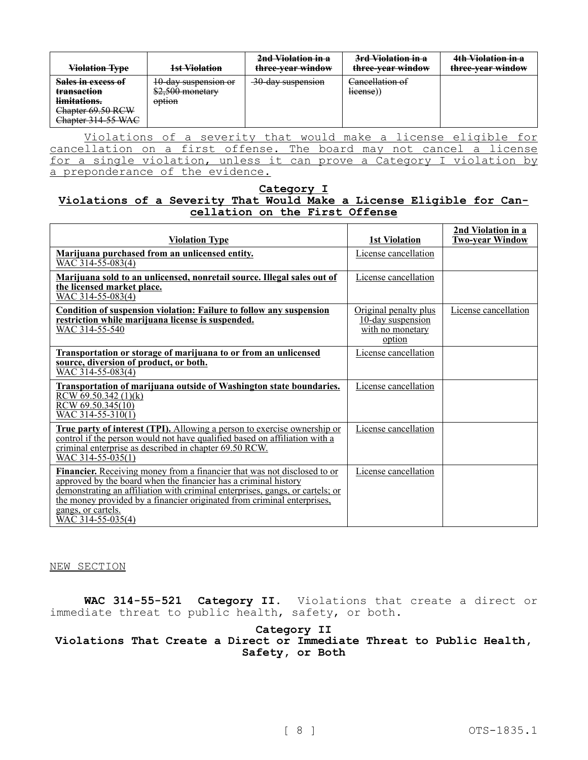| <b>Violation Type</b>                                                                                   | 1st Violation                                                 | <del>2nd Violation in a</del><br>three-year window | <del>3rd Violation in a</del><br>three-year window              | 4th Violation in a<br>three-year window |
|---------------------------------------------------------------------------------------------------------|---------------------------------------------------------------|----------------------------------------------------|-----------------------------------------------------------------|-----------------------------------------|
| Sales in excess of<br><del>transaction</del><br>limitations.<br>Chapter 69.50 RCW<br>Chapter 314-55 WAC | 10-day suspension or<br>\$2,500 monetary<br><del>option</del> | 30-day suspension                                  | Cancellation of<br>lieense)                                     |                                         |
| cancellation on a first offense The beard may not cancel a license                                      |                                                               |                                                    | Violations of a severity that would make a license eligible for |                                         |

cancellation on a first offense. The board may not cancel a license for a single violation, unless it can prove a Category I violation by a preponderance of the evidence.

## **Category I Violations of a Severity That Would Make a License Eligible for Cancellation on the First Offense**

| <b>Violation Type</b>                                                                                                                                                                                                                                                                                                                                       | <b>1st Violation</b>                                                     | 2nd Violation in a<br><b>Two-year Window</b> |
|-------------------------------------------------------------------------------------------------------------------------------------------------------------------------------------------------------------------------------------------------------------------------------------------------------------------------------------------------------------|--------------------------------------------------------------------------|----------------------------------------------|
| Marijuana purchased from an unlicensed entity.<br>$WAC$ 314-55-083(4)                                                                                                                                                                                                                                                                                       | License cancellation                                                     |                                              |
| Marijuana sold to an unlicensed, nonretail source. Illegal sales out of<br>the licensed market place.<br>WAC 314-55-083(4)                                                                                                                                                                                                                                  | License cancellation                                                     |                                              |
| <b>Condition of suspension violation: Failure to follow any suspension</b><br>restriction while marijuana license is suspended.<br>WAC 314-55-540                                                                                                                                                                                                           | Original penalty plus<br>10-day suspension<br>with no monetary<br>option | License cancellation                         |
| Transportation or storage of marijuana to or from an unlicensed<br>source, diversion of product, or both.<br>WAC 314-55-083(4)                                                                                                                                                                                                                              | License cancellation                                                     |                                              |
| <b>Transportation of marijuana outside of Washington state boundaries.</b><br>RCW $69.50.342(1)(k)$<br>RCW 69.50.345(10)<br>WAC 314-55-310(1)                                                                                                                                                                                                               | License cancellation                                                     |                                              |
| True party of interest (TPI). Allowing a person to exercise ownership or<br>control if the person would not have qualified based on affiliation with a<br>criminal enterprise as described in chapter 69.50 RCW.<br>$WAC$ 314-55-035(1)                                                                                                                     | License cancellation                                                     |                                              |
| <b>Financier.</b> Receiving money from a financier that was not disclosed to or<br>approved by the board when the financier has a criminal history<br>demonstrating an affiliation with criminal enterprises, gangs, or cartels; or<br>the money provided by a financier originated from criminal enterprises,<br>gangs, or cartels.<br>$WAC$ 314-55-035(4) | License cancellation                                                     |                                              |

NEW SECTION

**WAC 314-55-521 Category II.** Violations that create a direct or immediate threat to public health, safety, or both.

## **Category II Violations That Create a Direct or Immediate Threat to Public Health, Safety, or Both**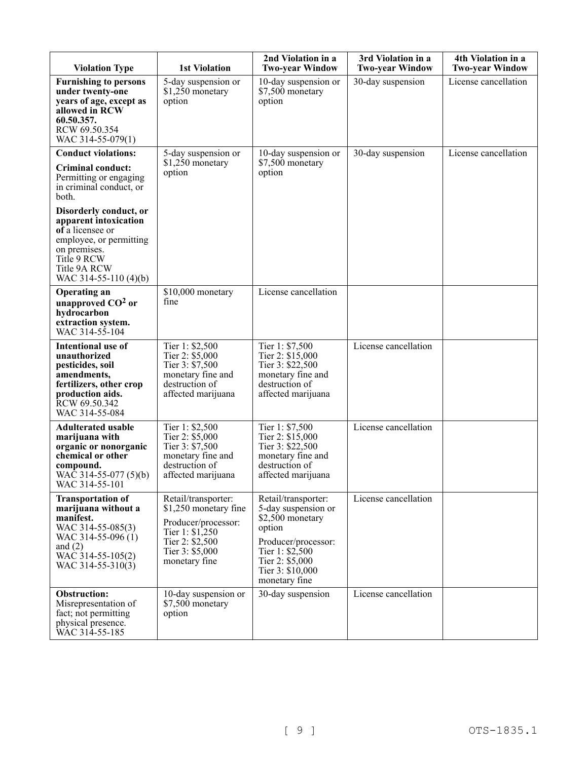| <b>Violation Type</b>                                                                                                                                                  | <b>1st Violation</b>                                                                                                                           | 2nd Violation in a<br><b>Two-year Window</b>                                                                                                                               | 3rd Violation in a<br><b>Two-year Window</b> | 4th Violation in a<br><b>Two-year Window</b> |
|------------------------------------------------------------------------------------------------------------------------------------------------------------------------|------------------------------------------------------------------------------------------------------------------------------------------------|----------------------------------------------------------------------------------------------------------------------------------------------------------------------------|----------------------------------------------|----------------------------------------------|
| <b>Furnishing to persons</b><br>under twenty-one<br>years of age, except as<br>allowed in RCW<br>60.50.357.<br>RCW 69.50.354<br>WAC 314-55-079(1)                      | 5-day suspension or<br>\$1,250 monetary<br>option                                                                                              | 10-day suspension or<br>\$7,500 monetary<br>option                                                                                                                         | 30-day suspension                            | License cancellation                         |
| <b>Conduct violations:</b><br><b>Criminal conduct:</b><br>Permitting or engaging<br>in criminal conduct, or<br>both.                                                   | 5-day suspension or<br>\$1,250 monetary<br>option                                                                                              | 10-day suspension or<br>\$7,500 monetary<br>option                                                                                                                         | 30-day suspension                            | License cancellation                         |
| Disorderly conduct, or<br>apparent intoxication<br>of a licensee or<br>employee, or permitting<br>on premises.<br>Title 9 RCW<br>Title 9A RCW<br>WAC 314-55-110 (4)(b) |                                                                                                                                                |                                                                                                                                                                            |                                              |                                              |
| <b>Operating an</b><br>unapproved $CO2$ or<br>hydrocarbon<br>extraction system.<br>WAC 314-55-104                                                                      | \$10,000 monetary<br>fine                                                                                                                      | License cancellation                                                                                                                                                       |                                              |                                              |
| <b>Intentional use of</b><br>unauthorized<br>pesticides, soil<br>amendments,<br>fertilizers, other crop<br>production aids.<br>RCW 69.50.342<br>WAC 314-55-084         | Tier 1: \$2,500<br>Tier 2: \$5,000<br>Tier 3: \$7,500<br>monetary fine and<br>destruction of<br>affected marijuana                             | Tier 1: \$7,500<br>Tier 2: \$15,000<br>Tier 3: \$22,500<br>monetary fine and<br>destruction of<br>affected marijuana                                                       | License cancellation                         |                                              |
| <b>Adulterated usable</b><br>marijuana with<br>organic or nonorganic<br>chemical or other<br>compound.<br>WAC 314-55-077 $(5)(b)$<br>WAC 314-55-101                    | Tier 1: \$2,500<br>Tier 2: \$5,000<br>Tier 3: \$7,500<br>monetary fine and<br>destruction of<br>affected marijuana                             | Tier 1: \$7,500<br>Tier 2: \$15,000<br>Tier 3: \$22,500<br>monetary fine and<br>destruction of<br>affected marijuana                                                       | License cancellation                         |                                              |
| <b>Transportation of</b><br>marijuana without a<br>manifest.<br>WAC 314-55-085(3)<br>WAC 314-55-096 (1)<br>and $(2)$<br>WAC 314-55-105(2)<br>WAC 314-55-310(3)         | Retail/transporter:<br>\$1,250 monetary fine<br>Producer/processor:<br>Tier 1: $$1,250$<br>Tier 2: \$2,500<br>Tier 3: \$5,000<br>monetary fine | Retail/transporter:<br>5-day suspension or<br>\$2,500 monetary<br>option<br>Producer/processor:<br>Tier 1: \$2,500<br>Tier 2: \$5,000<br>Tier 3: \$10,000<br>monetary fine | License cancellation                         |                                              |
| <b>Obstruction:</b><br>Misrepresentation of<br>fact; not permitting<br>physical presence.<br>WAC 314-55-185                                                            | 10-day suspension or<br>\$7,500 monetary<br>option                                                                                             | 30-day suspension                                                                                                                                                          | License cancellation                         |                                              |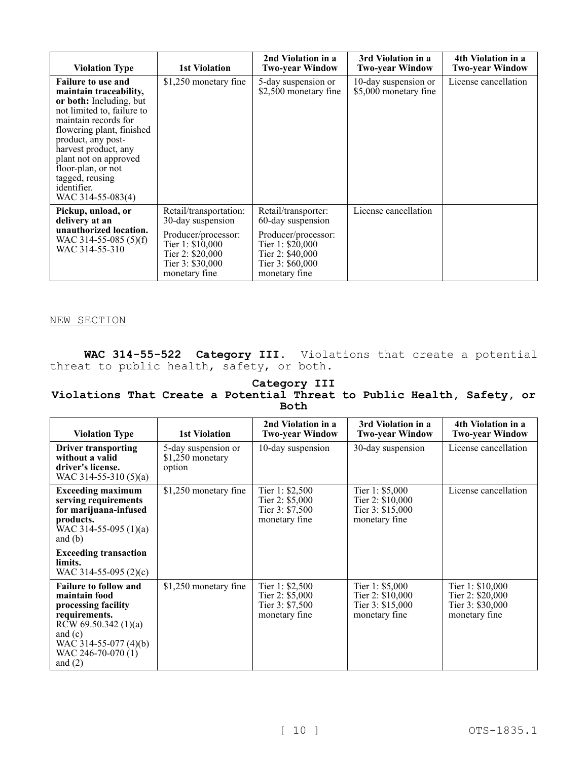| <b>Violation Type</b>                                                                                                                                                                                                                                                                                                 | <b>1st Violation</b>                                                                                                                            | 2nd Violation in a<br><b>Two-year Window</b>                                                                                                 | 3rd Violation in a<br><b>Two-year Window</b>  | 4th Violation in a<br><b>Two-year Window</b> |
|-----------------------------------------------------------------------------------------------------------------------------------------------------------------------------------------------------------------------------------------------------------------------------------------------------------------------|-------------------------------------------------------------------------------------------------------------------------------------------------|----------------------------------------------------------------------------------------------------------------------------------------------|-----------------------------------------------|----------------------------------------------|
| <b>Failure to use and</b><br>maintain traceability,<br>or both: Including, but<br>not limited to, failure to<br>maintain records for<br>flowering plant, finished<br>product, any post-<br>harvest product, any<br>plant not on approved<br>floor-plan, or not<br>tagged, reusing<br>identifier.<br>WAC 314-55-083(4) | \$1,250 monetary fine                                                                                                                           | 5-day suspension or<br>\$2,500 monetary fine                                                                                                 | 10-day suspension or<br>\$5,000 monetary fine | License cancellation                         |
| Pickup, unload, or<br>delivery at an<br>unauthorized location.<br>WAC 314-55-085 $(5)(f)$<br>WAC 314-55-310                                                                                                                                                                                                           | Retail/transportation:<br>30-day suspension<br>Producer/processor:<br>Tier 1: \$10,000<br>Tier 2: \$20,000<br>Tier 3: \$30,000<br>monetary fine | Retail/transporter:<br>60-day suspension<br>Producer/processor:<br>Tier 1: \$20,000<br>Tier 2: \$40,000<br>Tier 3: \$60,000<br>monetary fine | License cancellation                          |                                              |

#### NEW SECTION

**WAC 314-55-522 Category III.** Violations that create a potential threat to public health, safety, or both.

#### **Category III Violations That Create a Potential Threat to Public Health, Safety, or Both**

| <b>Violation Type</b>                                                                                                                                                                      | <b>1st Violation</b>                               | 2nd Violation in a<br><b>Two-year Window</b>                             | 3rd Violation in a<br><b>Two-year Window</b>                              | 4th Violation in a<br><b>Two-year Window</b>                              |
|--------------------------------------------------------------------------------------------------------------------------------------------------------------------------------------------|----------------------------------------------------|--------------------------------------------------------------------------|---------------------------------------------------------------------------|---------------------------------------------------------------------------|
| <b>Driver transporting</b><br>without a valid<br>driver's license.<br>WAC 314-55-310 $(5)(a)$                                                                                              | 5-day suspension or<br>$$1,250$ monetary<br>option | 10-day suspension                                                        | 30-day suspension                                                         | License cancellation                                                      |
| <b>Exceeding maximum</b><br>serving requirements<br>for marijuana-infused<br>products.<br>WAC 314-55-095 $(1)(a)$<br>and $(b)$                                                             | \$1,250 monetary fine                              | Tier 1: $$2,500$<br>Tier $2: $5,000$<br>Tier 3: \$7,500<br>monetary fine | Tier 1: $$5,000$<br>Tier 2: \$10,000<br>Tier 3: \$15,000<br>monetary fine | License cancellation                                                      |
| <b>Exceeding transaction</b><br>limits.<br>WAC 314-55-095 $(2)(c)$                                                                                                                         |                                                    |                                                                          |                                                                           |                                                                           |
| <b>Failure to follow and</b><br>maintain food<br>processing facility<br>requirements.<br>RCW 69.50.342 $(1)(a)$<br>and $(c)$<br>WAC 314-55-077 $(4)(b)$<br>WAC 246-70-070 (1)<br>and $(2)$ | \$1,250 monetary fine                              | Tier 1: $$2,500$<br>Tier 2: \$5,000<br>Tier 3: \$7,500<br>monetary fine  | Tier 1: $$5,000$<br>Tier 2: \$10,000<br>Tier 3: \$15,000<br>monetary fine | Tier 1: \$10,000<br>Tier 2: \$20,000<br>Tier 3: \$30,000<br>monetary fine |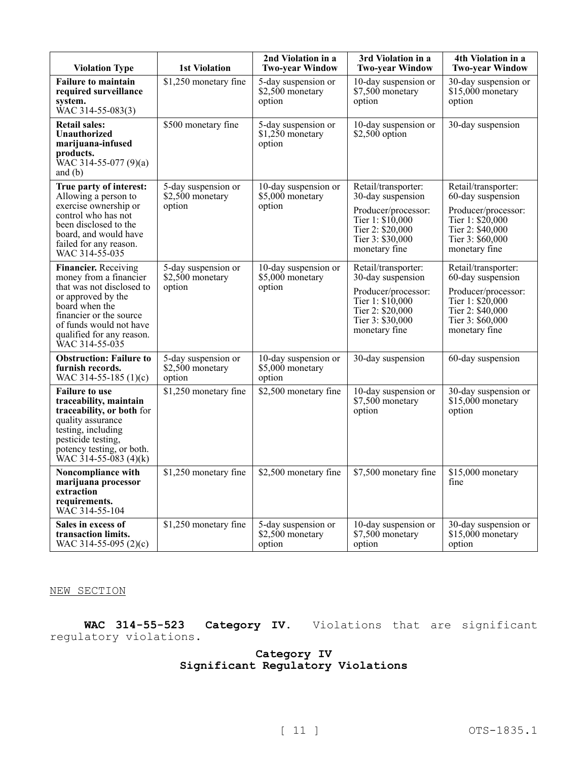| <b>Violation Type</b>                                                                                                                                                                                                    | <b>1st Violation</b>                              | 2nd Violation in a<br><b>Two-year Window</b>       | 3rd Violation in a<br><b>Two-year Window</b>                                                                                                  | 4th Violation in a<br><b>Two-year Window</b>                                                                                                 |
|--------------------------------------------------------------------------------------------------------------------------------------------------------------------------------------------------------------------------|---------------------------------------------------|----------------------------------------------------|-----------------------------------------------------------------------------------------------------------------------------------------------|----------------------------------------------------------------------------------------------------------------------------------------------|
| <b>Failure to maintain</b><br>required surveillance<br>system.<br>WAC 314-55-083(3)                                                                                                                                      | \$1,250 monetary fine                             | 5-day suspension or<br>\$2,500 monetary<br>option  | 10-day suspension or<br>\$7,500 monetary<br>option                                                                                            | 30-day suspension or<br>$$15,000$ monetary<br>option                                                                                         |
| <b>Retail sales:</b><br><b>Unauthorized</b><br>marijuana-infused<br>products.<br>WAC 314-55-077 $(9)(a)$<br>and $(b)$                                                                                                    | \$500 monetary fine                               | 5-day suspension or<br>\$1,250 monetary<br>option  | 10-day suspension or<br>$$2,500$ option                                                                                                       | 30-day suspension                                                                                                                            |
| True party of interest:<br>Allowing a person to<br>exercise ownership or<br>control who has not<br>been disclosed to the<br>board, and would have<br>failed for any reason.<br>WAC 314-55-035                            | 5-day suspension or<br>\$2,500 monetary<br>option | 10-day suspension or<br>\$5,000 monetary<br>option | Retail/transporter:<br>30-day suspension<br>Producer/processor:<br>Tier 1: $$10,000$<br>Tier 2: \$20,000<br>Tier 3: \$30,000<br>monetary fine | Retail/transporter:<br>60-day suspension<br>Producer/processor:<br>Tier 1: \$20,000<br>Tier 2: \$40,000<br>Tier 3: \$60,000<br>monetary fine |
| Financier. Receiving<br>money from a financier<br>that was not disclosed to<br>or approved by the<br>board when the<br>financier or the source<br>of funds would not have<br>qualified for any reason.<br>WAC 314-55-035 | 5-day suspension or<br>\$2,500 monetary<br>option | 10-day suspension or<br>\$5,000 monetary<br>option | Retail/transporter:<br>30-day suspension<br>Producer/processor:<br>Tier 1: \$10,000<br>Tier 2: \$20,000<br>Tier 3: \$30,000<br>monetary fine  | Retail/transporter:<br>60-day suspension<br>Producer/processor:<br>Tier 1: \$20,000<br>Tier 2: \$40,000<br>Tier 3: \$60,000<br>monetary fine |
| <b>Obstruction: Failure to</b><br>furnish records.<br>WAC 314-55-185 (1)(c)                                                                                                                                              | 5-day suspension or<br>\$2,500 monetary<br>option | 10-day suspension or<br>\$5,000 monetary<br>option | 30-day suspension                                                                                                                             | 60-day suspension                                                                                                                            |
| <b>Failure to use</b><br>traceability, maintain<br>traceability, or both for<br>quality assurance<br>testing, including<br>pesticide testing,<br>potency testing, or both.<br>$WAC$ 314-55-083 (4)(k)                    | \$1,250 monetary fine                             | \$2,500 monetary fine                              | 10-day suspension or<br>\$7,500 monetary<br>option                                                                                            | 30-day suspension or<br>$$15,000$ monetary<br>option                                                                                         |
| Noncompliance with<br>marijuana processor<br>extraction<br>requirements.<br>WAC 314-55-104                                                                                                                               | \$1,250 monetary fine                             | \$2,500 monetary fine                              | \$7,500 monetary fine                                                                                                                         | \$15,000 monetary<br>fine                                                                                                                    |
| Sales in excess of<br>transaction limits.<br>WAC 314-55-095 $(2)(c)$                                                                                                                                                     | \$1,250 monetary fine                             | 5-day suspension or<br>\$2,500 monetary<br>option  | 10-day suspension or<br>\$7,500 monetary<br>option                                                                                            | 30-day suspension or<br>$$15,000$ monetary<br>option                                                                                         |

### NEW SECTION

**WAC 314-55-523 Category IV.** Violations that are significant regulatory violations.

## **Category IV Significant Regulatory Violations**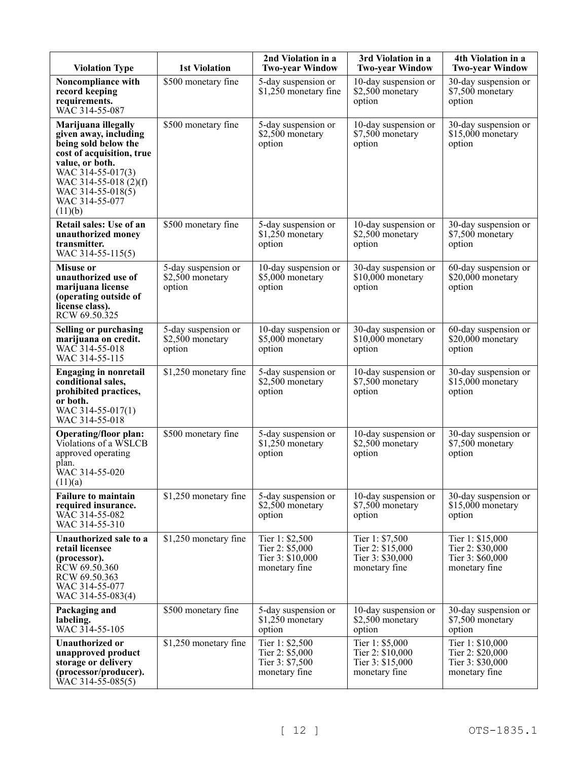| <b>Violation Type</b>                                                                                                                                                                                                | <b>1st Violation</b>                              | 2nd Violation in a<br><b>Two-year Window</b>                            | 3rd Violation in a<br><b>Two-year Window</b>                             | 4th Violation in a<br><b>Two-year Window</b>                              |
|----------------------------------------------------------------------------------------------------------------------------------------------------------------------------------------------------------------------|---------------------------------------------------|-------------------------------------------------------------------------|--------------------------------------------------------------------------|---------------------------------------------------------------------------|
| Noncompliance with<br>record keeping<br>requirements.<br>WÂC 314-55-087                                                                                                                                              | \$500 monetary fine                               | 5-day suspension or<br>\$1,250 monetary fine                            | 10-day suspension or<br>\$2,500 monetary<br>option                       | 30-day suspension or<br>\$7,500 monetary<br>option                        |
| Marijuana illegally<br>given away, including<br>being sold below the<br>cost of acquisition, true<br>value, or both.<br>WAC 314-55-017(3)<br>WAC 314-55-018 (2)(f)<br>WAC 314-55-018(5)<br>WAC 314-55-077<br>(11)(b) | \$500 monetary fine                               | 5-day suspension or<br>\$2,500 monetary<br>option                       | 10-day suspension or<br>\$7,500 monetary<br>option                       | 30-day suspension or<br>\$15,000 monetary<br>option                       |
| Retail sales: Use of an<br>unauthorized money<br>transmitter.<br>WAC 314-55-115(5)                                                                                                                                   | \$500 monetary fine                               | 5-day suspension or<br>\$1,250 monetary<br>option                       | 10-day suspension or<br>\$2,500 monetary<br>option                       | 30-day suspension or<br>\$7,500 monetary<br>option                        |
| <b>Misuse or</b><br>unauthorized use of<br>marijuana license<br>(operating outside of<br>license class).<br>RCW 69.50.325                                                                                            | 5-day suspension or<br>\$2,500 monetary<br>option | 10-day suspension or<br>\$5,000 monetary<br>option                      | 30-day suspension or<br>\$10,000 monetary<br>option                      | 60-day suspension or<br>\$20,000 monetary<br>option                       |
| <b>Selling or purchasing</b><br>marijuana on credit.<br>WAC 314-55-018<br>WAC 314-55-115                                                                                                                             | 5-day suspension or<br>\$2,500 monetary<br>option | 10-day suspension or<br>\$5,000 monetary<br>option                      | 30-day suspension or<br>$$10,000$ monetary<br>option                     | 60-day suspension or<br>\$20,000 monetary<br>option                       |
| <b>Engaging in nonretail</b><br>conditional sales,<br>prohibited practices,<br>or both.<br>WAC 314-55-017(1)<br>WAC 314-55-018                                                                                       | \$1,250 monetary fine                             | 5-day suspension or<br>\$2,500 monetary<br>option                       | 10-day suspension or<br>\$7,500 monetary<br>option                       | 30-day suspension or<br>\$15,000 monetary<br>option                       |
| <b>Operating/floor plan:</b><br>Violations of a WSLCB<br>approved operating<br>plan.<br>WAC 314-55-020<br>(11)(a)                                                                                                    | \$500 monetary fine                               | 5-day suspension or<br>\$1,250 monetary<br>option                       | 10-day suspension or<br>\$2,500 monetary<br>option                       | 30-day suspension or<br>\$7,500 monetary<br>option                        |
| <b>Failure to maintain</b><br>required insurance.<br>WAC 314-55-082<br>WAC 314-55-310                                                                                                                                | \$1,250 monetary fine                             | 5-day suspension or<br>\$2,500 monetary<br>option                       | 10-day suspension or<br>\$7,500 monetary<br>option                       | 30-day suspension or<br>\$15,000 monetary<br>option                       |
| Unauthorized sale to a<br>retail licensee<br>(processor).<br>RCW 69.50.360<br>RCW 69.50.363<br>WAC 314-55-077<br>WAC 314-55-083(4)                                                                                   | \$1,250 monetary fine                             | Tier 1: \$2,500<br>Tier 2: \$5,000<br>Tier 3: \$10,000<br>monetary fine | Tier 1: \$7,500<br>Tier 2: \$15,000<br>Tier 3: \$30,000<br>monetary fine | Tier 1: \$15,000<br>Tier 2: \$30,000<br>Tier 3: \$60,000<br>monetary fine |
| Packaging and<br>labeling.<br>WAC 314-55-105                                                                                                                                                                         | \$500 monetary fine                               | 5-day suspension or<br>\$1,250 monetary<br>option                       | 10-day suspension or<br>\$2,500 monetary<br>option                       | 30-day suspension or<br>\$7,500 monetary<br>option                        |
| Unauthorized or<br>unapproved product<br>storage or delivery<br>(processor/producer).<br>WAC 314-55-085(5)                                                                                                           | \$1,250 monetary fine                             | Tier 1: \$2,500<br>Tier 2: \$5,000<br>Tier 3: \$7,500<br>monetary fine  | Tier 1: \$5,000<br>Tier 2: \$10,000<br>Tier 3: \$15,000<br>monetary fine | Tier 1: \$10,000<br>Tier 2: \$20,000<br>Tier 3: \$30,000<br>monetary fine |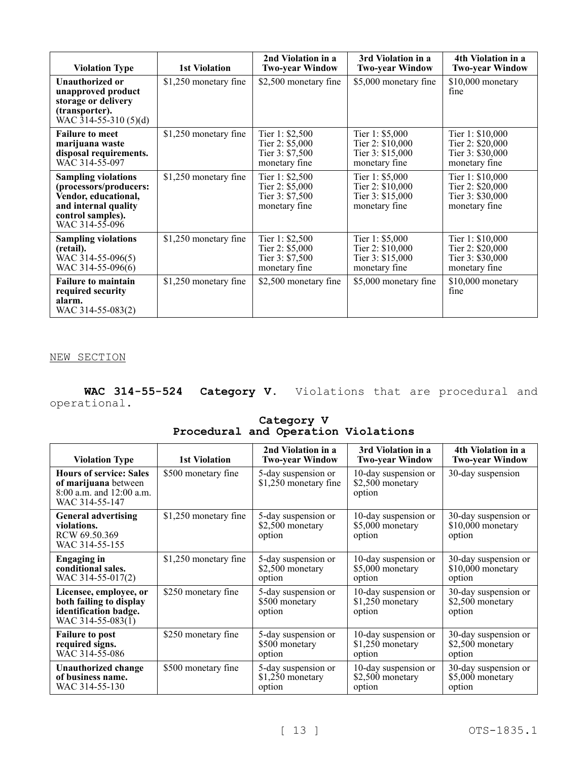| <b>Violation Type</b>                                                                                                                       | <b>1st Violation</b>  | 2nd Violation in a<br><b>Two-year Window</b>                           | 3rd Violation in a<br><b>Two-year Window</b>                             | 4th Violation in a<br><b>Two-year Window</b>                              |
|---------------------------------------------------------------------------------------------------------------------------------------------|-----------------------|------------------------------------------------------------------------|--------------------------------------------------------------------------|---------------------------------------------------------------------------|
| <b>Unauthorized or</b><br>unapproved product<br>storage or delivery<br>(transporter).<br>WAC 314-55-310 $(5)(d)$                            | \$1,250 monetary fine | \$2,500 monetary fine                                                  | \$5,000 monetary fine                                                    | \$10,000 monetary<br>fine                                                 |
| <b>Failure to meet</b><br>marijuana waste<br>disposal requirements.<br>WAC 314-55-097                                                       | \$1,250 monetary fine | Tier 1: \$2,500<br>Tier 2: \$5,000<br>Tier 3: \$7,500<br>monetary fine | Tier 1: \$5,000<br>Tier 2: \$10,000<br>Tier 3: \$15,000<br>monetary fine | Tier 1: \$10,000<br>Tier 2: \$20,000<br>Tier 3: \$30,000<br>monetary fine |
| <b>Sampling violations</b><br>(processors/producers:<br>Vendor, educational,<br>and internal quality<br>control samples).<br>WAC 314-55-096 | \$1,250 monetary fine | Tier 1: \$2,500<br>Tier 2: \$5,000<br>Tier 3: \$7,500<br>monetary fine | Tier 1: \$5,000<br>Tier 2: \$10,000<br>Tier 3: \$15,000<br>monetary fine | Tier 1: \$10,000<br>Tier 2: \$20,000<br>Tier 3: \$30,000<br>monetary fine |
| <b>Sampling violations</b><br>(retail).<br>WAC 314-55-096(5)<br>WAC 314-55-096(6)                                                           | \$1,250 monetary fine | Tier 1: \$2,500<br>Tier 2: \$5,000<br>Tier 3: \$7,500<br>monetary fine | Tier 1: \$5,000<br>Tier 2: \$10,000<br>Tier 3: \$15,000<br>monetary fine | Tier 1: \$10,000<br>Tier 2: \$20,000<br>Tier 3: \$30,000<br>monetary fine |
| <b>Failure to maintain</b><br>required security<br>alarm.<br>WAC 314-55-083(2)                                                              | \$1,250 monetary fine | \$2,500 monetary fine                                                  | \$5,000 monetary fine                                                    | $$10,000$ monetary<br>fine                                                |

NEW SECTION

**WAC 314-55-524 Category V.** Violations that are procedural and operational.

> **Category V Procedural and Operation Violations**

| <b>Violation Type</b>                                                                                | <b>1st Violation</b>  | 2nd Violation in a<br><b>Two-year Window</b>       | 3rd Violation in a<br><b>Two-year Window</b>       | 4th Violation in a<br><b>Two-year Window</b>         |
|------------------------------------------------------------------------------------------------------|-----------------------|----------------------------------------------------|----------------------------------------------------|------------------------------------------------------|
| <b>Hours of service: Sales</b><br>of marijuana between<br>8:00 a.m. and 12:00 a.m.<br>WAC 314-55-147 | \$500 monetary fine   | 5-day suspension or<br>\$1,250 monetary fine       | 10-day suspension or<br>\$2,500 monetary<br>option | 30-day suspension                                    |
| <b>General advertising</b><br>violations.<br>RCW 69.50.369<br>WAC 314-55-155                         | \$1,250 monetary fine | 5-day suspension or<br>\$2,500 monetary<br>option  | 10-day suspension or<br>\$5,000 monetary<br>option | 30-day suspension or<br>\$10,000 monetary<br>option  |
| <b>Engaging in</b><br>conditional sales.<br>WAC 314-55-017(2)                                        | \$1,250 monetary fine | 5-day suspension or<br>\$2,500 monetary<br>option  | 10-day suspension or<br>\$5,000 monetary<br>option | 30-day suspension or<br>$$10,000$ monetary<br>option |
| Licensee, employee, or<br>both failing to display<br>identification badge.<br>WAC 314-55-083(1)      | \$250 monetary fine   | 5-day suspension or<br>\$500 monetary<br>option    | 10-day suspension or<br>\$1,250 monetary<br>option | 30-day suspension or<br>\$2,500 monetary<br>option   |
| <b>Failure to post</b><br>required signs.<br>WAC 314-55-086                                          | \$250 monetary fine   | 5-day suspension or<br>\$500 monetary<br>option    | 10-day suspension or<br>\$1,250 monetary<br>option | 30-day suspension or<br>\$2,500 monetary<br>option   |
| <b>Unauthorized change</b><br>of business name.<br>WAC 314-55-130                                    | \$500 monetary fine   | 5-day suspension or<br>$$1,250$ monetary<br>option | 10-day suspension or<br>\$2,500 monetary<br>option | 30-day suspension or<br>\$5,000 monetary<br>option   |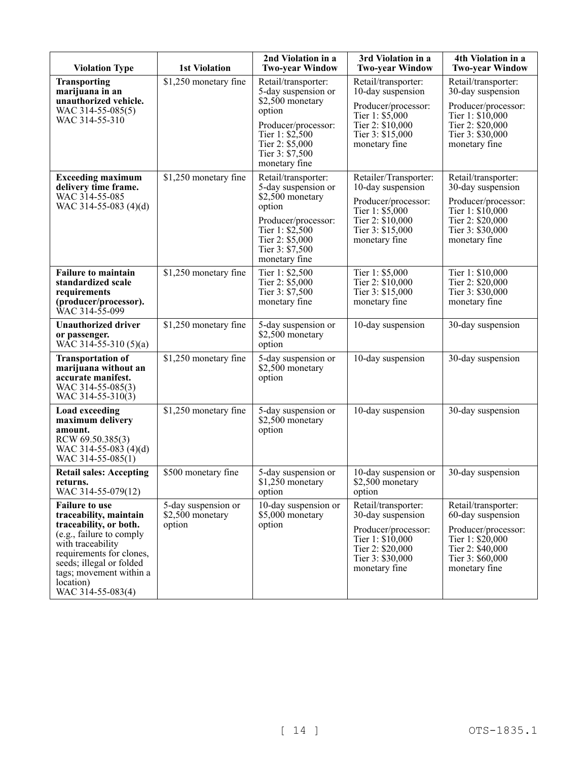| <b>Violation Type</b>                                                                                                                                                                                                                           | <b>1st Violation</b>                              | 2nd Violation in a<br><b>Two-year Window</b>                                                                                                                              | 3rd Violation in a<br><b>Two-year Window</b>                                                                                                  | 4th Violation in a<br><b>Two-year Window</b>                                                                                                 |
|-------------------------------------------------------------------------------------------------------------------------------------------------------------------------------------------------------------------------------------------------|---------------------------------------------------|---------------------------------------------------------------------------------------------------------------------------------------------------------------------------|-----------------------------------------------------------------------------------------------------------------------------------------------|----------------------------------------------------------------------------------------------------------------------------------------------|
| <b>Transporting</b><br>marijuana in an<br>unauthorized vehicle.<br>WAC 314-55-085(5)<br>WAC 314-55-310                                                                                                                                          | \$1,250 monetary fine                             | Retail/transporter:<br>5-day suspension or<br>\$2,500 monetary<br>option<br>Producer/processor:<br>Tier 1: \$2,500<br>Tier 2: \$5,000<br>Tier 3: \$7,500<br>monetary fine | Retail/transporter:<br>10-day suspension<br>Producer/processor:<br>Tier 1: \$5,000<br>Tier 2: \$10,000<br>Tier 3: \$15,000<br>monetary fine   | Retail/transporter:<br>30-day suspension<br>Producer/processor:<br>Tier 1: \$10,000<br>Tier 2: \$20,000<br>Tier 3: \$30,000<br>monetary fine |
| <b>Exceeding maximum</b><br>delivery time frame.<br>WAC 314-55-085<br>WAC 314-55-083 (4)(d)                                                                                                                                                     | \$1,250 monetary fine                             | Retail/transporter:<br>5-day suspension or<br>\$2,500 monetary<br>option<br>Producer/processor:<br>Tier 1: \$2,500<br>Tier 2: \$5,000<br>Tier 3: \$7,500<br>monetary fine | Retailer/Transporter:<br>10-day suspension<br>Producer/processor:<br>Tier 1: \$5,000<br>Tier 2: \$10,000<br>Tier 3: \$15,000<br>monetary fine | Retail/transporter:<br>30-day suspension<br>Producer/processor:<br>Tier 1: \$10,000<br>Tier 2: \$20,000<br>Tier 3: \$30,000<br>monetary fine |
| <b>Failure to maintain</b><br>standardized scale<br>requirements<br>(producer/processor).<br>WAC 314-55-099                                                                                                                                     | \$1,250 monetary fine                             | Tier 1: \$2,500<br>Tier 2: \$5,000<br>Tier 3: \$7,500<br>monetary fine                                                                                                    | Tier 1: \$5,000<br>Tier 2: \$10,000<br>Tier 3: \$15,000<br>monetary fine                                                                      | Tier 1: \$10,000<br>Tier 2: \$20,000<br>Tier 3: \$30,000<br>monetary fine                                                                    |
| <b>Unauthorized driver</b><br>or passenger.<br>WAC 314-55-310 $(5)(a)$                                                                                                                                                                          | \$1,250 monetary fine                             | 5-day suspension or<br>\$2,500 monetary<br>option                                                                                                                         | 10-day suspension                                                                                                                             | 30-day suspension                                                                                                                            |
| <b>Transportation of</b><br>marijuana without an<br>accurate manifest.<br>WAC 314-55-085(3)<br>WAC 314-55-310(3)                                                                                                                                | \$1,250 monetary fine                             | 5-day suspension or<br>\$2,500 monetary<br>option                                                                                                                         | 10-day suspension                                                                                                                             | 30-day suspension                                                                                                                            |
| <b>Load exceeding</b><br>maximum delivery<br>amount.<br>RCW 69.50.385(3)<br>WAC 314-55-083 (4)(d)<br>WAC 314-55-085(1)                                                                                                                          | \$1,250 monetary fine                             | 5-day suspension or<br>\$2,500 monetary<br>option                                                                                                                         | 10-day suspension                                                                                                                             | 30-day suspension                                                                                                                            |
| <b>Retail sales: Accepting</b><br>returns.<br>WAC 314-55-079(12)                                                                                                                                                                                | \$500 monetary fine                               | 5-day suspension or<br>\$1,250 monetary<br>option                                                                                                                         | 10-day suspension or<br>\$2,500 monetary<br>option                                                                                            | 30-day suspension                                                                                                                            |
| <b>Failure to use</b><br>traceability, maintain<br>traceability, or both.<br>(e.g., failure to comply<br>with traceability<br>requirements for clones,<br>seeds; illegal or folded<br>tags; movement within a<br>location)<br>WAC 314-55-083(4) | 5-day suspension or<br>\$2,500 monetary<br>option | 10-day suspension or<br>\$5,000 monetary<br>option                                                                                                                        | Retail/transporter:<br>30-day suspension<br>Producer/processor:<br>Tier 1: \$10,000<br>Tier 2: \$20,000<br>Tier 3: \$30,000<br>monetary fine  | Retail/transporter:<br>60-day suspension<br>Producer/processor:<br>Tier 1: \$20,000<br>Tier 2: \$40,000<br>Tier 3: \$60,000<br>monetary fine |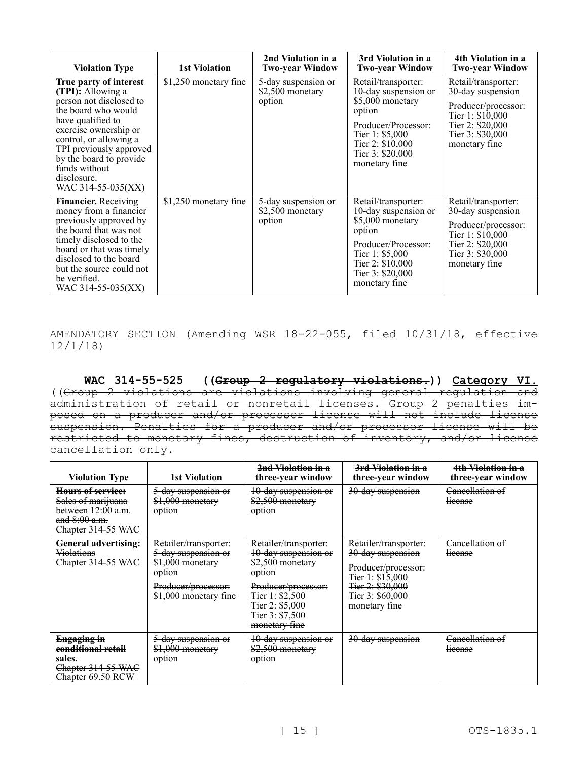| <b>Violation Type</b>                                                                                                                                                                                                                                                             | 1st Violation         | 2nd Violation in a<br><b>Two-year Window</b>      | 3rd Violation in a<br><b>Two-year Window</b>                                                                                                                                  | 4th Violation in a<br><b>Two-year Window</b>                                                                                                 |
|-----------------------------------------------------------------------------------------------------------------------------------------------------------------------------------------------------------------------------------------------------------------------------------|-----------------------|---------------------------------------------------|-------------------------------------------------------------------------------------------------------------------------------------------------------------------------------|----------------------------------------------------------------------------------------------------------------------------------------------|
| True party of interest<br>(TPI): Allowing a<br>person not disclosed to<br>the board who would<br>have qualified to<br>exercise ownership or<br>control, or allowing a<br>TPI previously approved<br>by the board to provide<br>funds without<br>disclosure.<br>WAC 314-55-035(XX) | \$1,250 monetary fine | 5-day suspension or<br>\$2,500 monetary<br>option | Retail/transporter:<br>10-day suspension or<br>\$5,000 monetary<br>option<br>Producer/Processor:<br>Tier 1: \$5,000<br>Tier 2: \$10,000<br>Tier 3: \$20,000<br>monetary fine  | Retail/transporter:<br>30-day suspension<br>Producer/processor:<br>Tier 1: \$10,000<br>Tier 2: \$20,000<br>Tier 3: \$30,000<br>monetary fine |
| <b>Financier.</b> Receiving<br>money from a financier<br>previously approved by<br>the board that was not<br>timely disclosed to the<br>board or that was timely<br>disclosed to the board<br>but the source could not<br>be verified.<br>WAC 314-55-035(XX)                      | \$1,250 monetary fine | 5-day suspension or<br>\$2,500 monetary<br>option | Retail/transporter:<br>10-day suspension or<br>\$5,000 monetary<br>option<br>Producer/Processor:<br>Tier 1: $$5,000$<br>Tier 2: \$10,000<br>Tier 3: \$20,000<br>monetary fine | Retail/transporter:<br>30-day suspension<br>Producer/processor:<br>Tier 1: \$10,000<br>Tier 2: \$20,000<br>Tier 3: \$30,000<br>monetary fine |

AMENDATORY SECTION (Amending WSR 18-22-055, filed 10/31/18, effective  $\frac{12}{12/118}$ 

**WAC 314-55-525 ((Group 2 regulatory violations.)) Category VI.**  ((Group 2 violations are violations involving general regulation and administration of retail or nonretail licenses. Group 2 penalties imposed on a producer and/or processor license will not include license suspension. Penalties for a producer and/or processor license will be restricted to monetary fines, destruction of inventory, and/or license cancellation only.

| <b>Violation Type</b>                                                                                  | 1st Violation                                                                                                              | 2nd Violation in a<br>three-year window                                                                                                                                       | <del>3rd Violation in a</del><br>three-year window                                                                                             | 4th Violation in a<br>three-year window |
|--------------------------------------------------------------------------------------------------------|----------------------------------------------------------------------------------------------------------------------------|-------------------------------------------------------------------------------------------------------------------------------------------------------------------------------|------------------------------------------------------------------------------------------------------------------------------------------------|-----------------------------------------|
| Hours of service:<br>Sales of marijuana<br>between 12:00 a.m.<br>and $8:00$ a.m.<br>Chapter 314-55 WAC | 5-day suspension or<br>\$1,000 monetary<br>option                                                                          | 10-day suspension or<br>\$2,500 monetary<br>option                                                                                                                            | 30-day suspension                                                                                                                              | Cancellation of<br>license              |
| <b>General advertising:</b><br><b>Violations</b><br>Chapter 314-55 WAC                                 | Retailer/transporter:<br>5-day suspension or<br>\$1,000 monetary<br>option<br>Producer/processor:<br>\$1,000 monetary fine | Retailer/transporter:<br>10-day suspension or<br>\$2,500 monetary<br>option<br>Producer/processor:<br>Fier 1: $$2,500$<br>Tier 2: \$5,000<br>Fier 3: \$7,500<br>monetary fine | Retailer/transporter:<br>30-day suspension<br>Producer/processor:<br>Fier 1: \$15,000<br>Tier 2: \$30,000<br>Tier 3: \$60,000<br>monetary fine | Cancellation of<br><b>license</b>       |
| Engaging in<br>eonditional retail<br>sales.<br>Chapter 314-55 WAC<br>Chapter 69.50 RCW                 | 5-day suspension or<br>\$1,000 monetary<br>option                                                                          | 10-day suspension or<br>\$2,500 monetary<br>option                                                                                                                            | 30-day suspension                                                                                                                              | Cancellation of<br><b>license</b>       |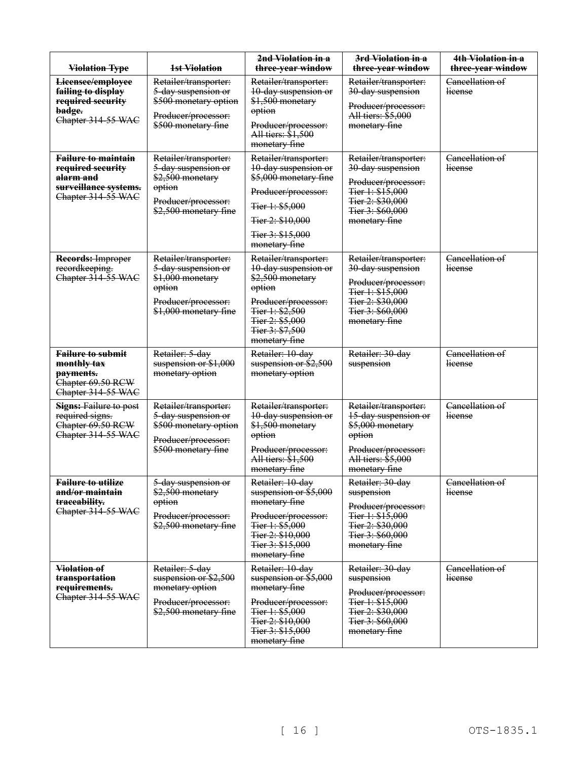| <b>Violation Type</b>                                                                                                  | 1st Violation                                                                                                              | 2nd Violation in a<br>three-year window                                                                                                                                      | 3rd Violation in a<br>three-year window                                                                                                        | 4th Violation in a<br>three-year window |
|------------------------------------------------------------------------------------------------------------------------|----------------------------------------------------------------------------------------------------------------------------|------------------------------------------------------------------------------------------------------------------------------------------------------------------------------|------------------------------------------------------------------------------------------------------------------------------------------------|-----------------------------------------|
| Licensee/employee<br>failing to display<br>required security<br>badge.<br>Chapter 314-55 WAC                           | Retailer/transporter:<br>5-day suspension or<br>\$500 monetary option<br>Producer/processor:<br>\$500 monetary fine        | Retailer/transporter:<br>10-day suspension or<br>\$1,500 monetary<br>option<br>Producer/processor:<br>All tiers: \$1,500<br>monetary fine                                    | Retailer/transporter:<br>30-day suspension<br>Producer/processor:<br>All tiers: \$5,000<br>monetary fine                                       | Cancellation of<br><b>license</b>       |
| <b>Failure to maintain</b><br>required security<br><del>alarm and</del><br>surveillance systems.<br>Chapter 314-55 WAC | Retailer/transporter:<br>5-day suspension or<br>\$2,500 monetary<br>option<br>Producer/processor:<br>\$2,500 monetary fine | Retailer/transporter:<br>10-day suspension or<br>\$5,000 monetary fine<br>Producer/processor:<br>Tier 1: \$5,000<br>Tier 2: \$10,000<br>Tier 3: \$15,000<br>monetary fine    | Retailer/transporter:<br>30-day suspension<br>Producer/processor:<br>Tier 1: \$15,000<br>Tier 2: \$30,000<br>Tier 3: \$60,000<br>monetary fine | Cancellation of<br>license              |
| <b>Records: Improper</b><br>recordkeeping.<br>Chapter 314-55 WAC                                                       | Retailer/transporter:<br>5-day suspension or<br>\$1,000 monetary<br>option<br>Producer/processor:<br>\$1,000 monetary fine | Retailer/transporter:<br>10-day suspension or<br>\$2,500 monetary<br>option<br>Producer/processor:<br>Tier 1: \$2,500<br>Tier 2: \$5,000<br>Tier 3: \$7,500<br>monetary fine | Retailer/transporter:<br>30-day suspension<br>Producer/processor:<br>Tier 1: \$15,000<br>Tier 2: \$30,000<br>Tier 3: \$60,000<br>monetary fine | Cancellation of<br>license              |
| <b>Failure to submit</b><br>monthly tax<br>payments.<br>Chapter 69.50 RCW<br>Chapter 314-55 WAC                        | Retailer: 5-day<br>suspension or \$1,000<br>monetary option                                                                | Retailer: 10-day<br>suspension or \$2,500<br>monetary option                                                                                                                 | Retailer: 30-day<br>suspension                                                                                                                 | Cancellation of<br><b>Heense</b>        |
| <b>Signs: Failure to post</b><br>required signs.<br>Chapter 69.50 RCW<br>Chapter 314-55 WAC                            | Retailer/transporter:<br>5-day suspension or<br>\$500 monetary option<br>Producer/processor:<br>\$500 monetary fine        | Retailer/transporter:<br>10-day suspension or<br>\$1,500 monetary<br>option<br>Producer/processor:<br>All tiers: \$1,500<br>monetary fine                                    | Retailer/transporter:<br>15-day suspension or<br>\$5,000 monetary<br>option<br>Producer/processor:<br>All tiers: \$5,000<br>monetary fine      | Cancellation of<br><b>Heense</b>        |
| <b>Failure to utilize</b><br>and/or maintain<br>traceability.<br>Chapter 314-55 WAC                                    | 5-day suspension or<br>\$2,500 monetary<br>option<br>Producer/processor:<br>\$2,500 monetary fine                          | Retailer: 10-day<br>suspension or $$5,000$<br>monetary fine<br>Producer/processor:<br>Fier 1: \$5,000<br>Tier 2: \$10,000<br>Tier 3: \$15,000<br>monetary fine               | Retailer: 30-day<br>suspension<br>Producer/processor:<br>Tier 1: \$15,000<br>Tier 2: \$30,000<br>Tier 3: \$60,000<br>monetary fine             | Cancellation of<br><i><u>Heense</u></i> |
| Violation of<br>transportation<br>requirements.<br>Chapter 314-55 WAC                                                  | Retailer: 5-day<br>suspension or \$2,500<br>monetary option<br>Producer/processor:<br>\$2,500 monetary fine                | Retailer: 10-day<br>suspension or \$5,000<br>monetary fine<br>Producer/processor:<br>Tier 1: \$5,000<br>Tier 2: \$10,000<br>Tier 3: \$15,000<br>monetary fine                | Retailer: 30-day<br>suspension<br>Producer/processor:<br>Tier 1: \$15,000<br>Tier 2: \$30,000<br>Fier 3: \$60,000<br>monetary fine             | Cancellation of<br><b>license</b>       |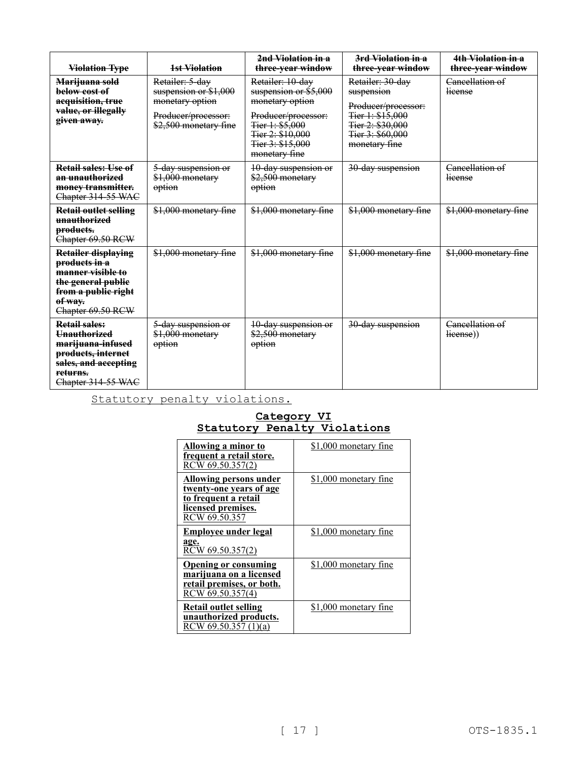| <b>Violation Type</b>                                                                                                                                       | 1st Violation                                                                                               | 2nd Violation in a<br>three-year window                                                                                                                          | 3rd-Violation in a<br>three-year window                                                                                            | 4th Violation in a<br>three-year window |
|-------------------------------------------------------------------------------------------------------------------------------------------------------------|-------------------------------------------------------------------------------------------------------------|------------------------------------------------------------------------------------------------------------------------------------------------------------------|------------------------------------------------------------------------------------------------------------------------------------|-----------------------------------------|
| Marijuana sold<br>below cost of<br>acquisition, true<br>value, or illegally<br>given away.                                                                  | Retailer: 5-day<br>suspension or \$1,000<br>monetary option<br>Producer/processor:<br>\$2,500 monetary fine | Retailer: 10-day<br>suspension or $$5,000$<br>monetary option<br>Producer/processor:<br>Fier 1: \$5,000<br>Tier 2: \$10,000<br>Tier 3: \$15,000<br>monetary fine | Retailer: 30-day<br>suspension<br>Producer/processor:<br>Tier 1: \$15,000<br>Tier 2: \$30,000<br>Tier 3: \$60,000<br>monetary fine | Cancellation of<br>license              |
| Retail sales: Use of<br>an unauthorized<br>money transmitter.<br>Chapter 314-55 WAC                                                                         | 5-day suspension or<br>\$1,000 monetary<br>option                                                           | 10-day suspension or<br>\$2,500 monetary<br>option                                                                                                               | 30-day suspension                                                                                                                  | Cancellation of<br>lieense              |
| <b>Retail outlet selling</b><br>unauthorized<br>products.<br>Chapter 69.50 RCW                                                                              | \$1,000 monetary fine                                                                                       | \$1,000 monetary fine                                                                                                                                            | \$1,000 monetary fine                                                                                                              | \$1,000 monetary fine                   |
| <b>Retailer displaying</b><br>products in a<br>manner visible to<br>the general public<br>from a public right<br>of way.<br>Chapter 69.50 RCW               | \$1,000 monetary fine                                                                                       | \$1,000 monetary fine                                                                                                                                            | \$1,000 monetary fine                                                                                                              | \$1,000 monetary fine                   |
| <b>Retail sales:</b><br><b>Unauthorized</b><br><del>marijuana-infused</del><br>products, internet<br>sales, and accepting<br>returns.<br>Chapter 314-55 WAC | 5-day suspension or<br>\$1,000 monetary<br>option                                                           | 10-day suspension or<br>\$2,500 monetary<br>option                                                                                                               | 30-day suspension                                                                                                                  | Cancellation of<br>lieense)             |

Statutory penalty violations.

## **Category VI Statutory Penalty Violations**

| Allowing a minor to<br>frequent a retail store.<br>RCW 69.50.357(2)                                                            | \$1,000 monetary fine |
|--------------------------------------------------------------------------------------------------------------------------------|-----------------------|
| <b>Allowing persons under</b><br>twenty-one years of age<br><u>to frequent a retail</u><br>licensed premises.<br>RCW 69.50.357 | \$1,000 monetary fine |
| <b>Employee under legal</b><br>age.<br>RCW 69.50.357(2)                                                                        | \$1,000 monetary fine |
| <b>Opening or consuming</b><br>marijuana on a licensed<br>retail premises, or both.<br>RCW 69.50.357(4)                        | \$1,000 monetary fine |
| Retail outlet selling<br>unauthorized products.<br>RCW 69.50.357 (1)(a)                                                        | \$1,000 monetary fine |